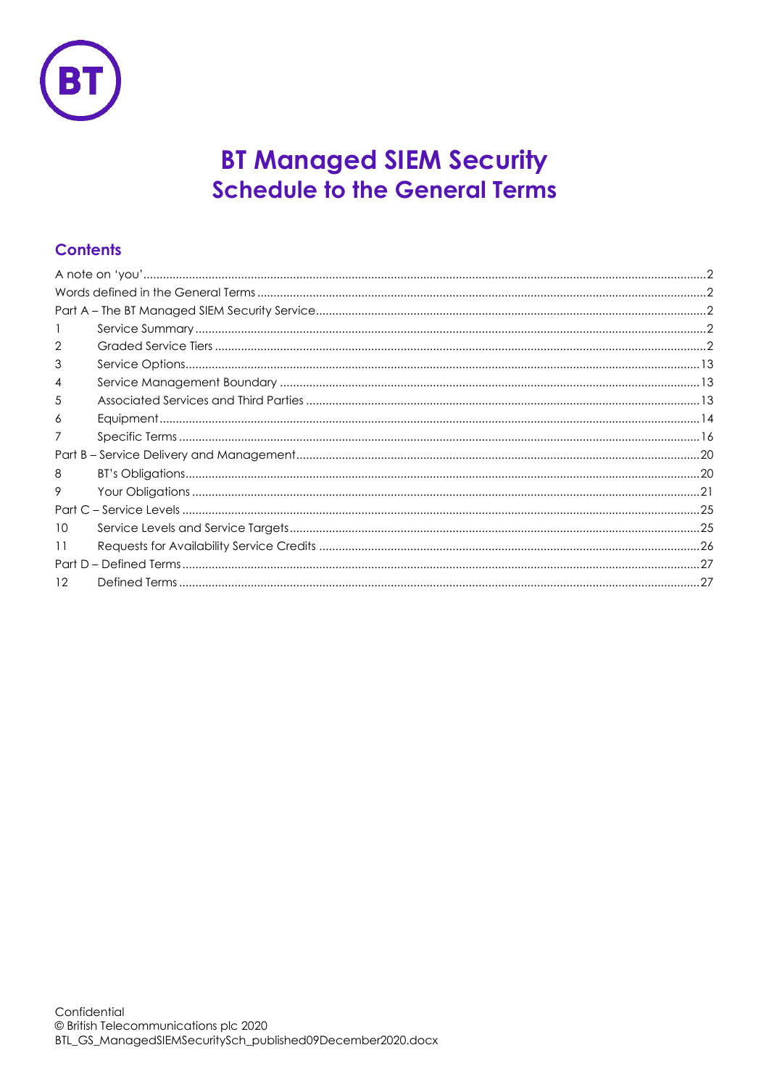

# **BT Managed SIEM Security Schedule to the General Terms**

# **Contents**

| 2               |  |
|-----------------|--|
| 3               |  |
| 4               |  |
| 5               |  |
| 6               |  |
| 7               |  |
|                 |  |
| 8               |  |
| 9               |  |
|                 |  |
| 10              |  |
| 11              |  |
|                 |  |
| 12 <sup>°</sup> |  |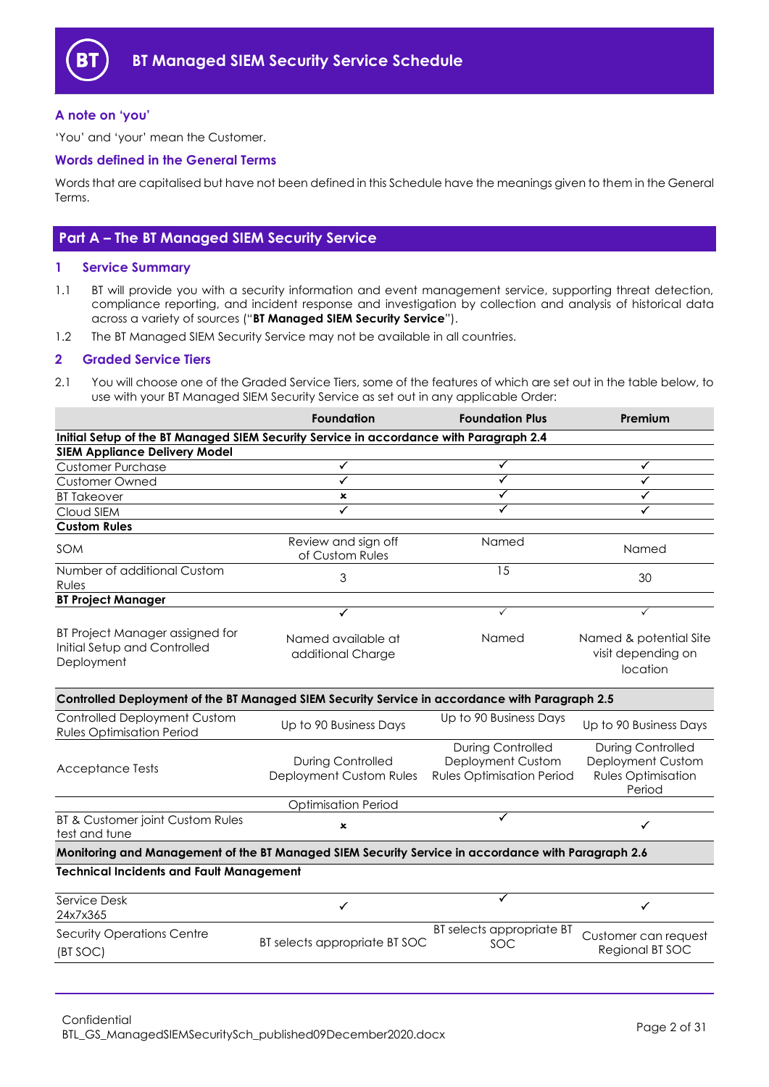

### <span id="page-1-0"></span>**A note on 'you'**

'You' and 'your' mean the Customer.

### <span id="page-1-1"></span>**Words defined in the General Terms**

Words that are capitalised but have not been defined in this Schedule have the meanings given to them in the General Terms.

### <span id="page-1-2"></span>**Part A – The BT Managed SIEM Security Service**

### <span id="page-1-3"></span>**1 Service Summary**

- 1.1 BT will provide you with a security information and event management service, supporting threat detection, compliance reporting, and incident response and investigation by collection and analysis of historical data across a variety of sources ("**BT Managed SIEM Security Service**").
- 1.2 The BT Managed SIEM Security Service may not be available in all countries.

### <span id="page-1-4"></span>**2 Graded Service Tiers**

2.1 You will choose one of the Graded Service Tiers, some of the features of which are set out in the table below, to use with your BT Managed SIEM Security Service as set out in any applicable Order:

|                                                                                                    | <b>Foundation</b>                                   | <b>Foundation Plus</b>                                                            | Premium                                                                              |  |
|----------------------------------------------------------------------------------------------------|-----------------------------------------------------|-----------------------------------------------------------------------------------|--------------------------------------------------------------------------------------|--|
| Initial Setup of the BT Managed SIEM Security Service in accordance with Paragraph 2.4             |                                                     |                                                                                   |                                                                                      |  |
| <b>SIEM Appliance Delivery Model</b>                                                               |                                                     |                                                                                   |                                                                                      |  |
| <b>Customer Purchase</b>                                                                           | ✓                                                   | ✓                                                                                 | ✓                                                                                    |  |
| <b>Customer Owned</b>                                                                              | ✓                                                   | ✓                                                                                 | ✓                                                                                    |  |
| <b>BT Takeover</b>                                                                                 | $\pmb{\times}$                                      | ✓                                                                                 | ✓                                                                                    |  |
| Cloud SIEM                                                                                         | ✓                                                   | ✓                                                                                 |                                                                                      |  |
| <b>Custom Rules</b>                                                                                |                                                     |                                                                                   |                                                                                      |  |
| <b>SOM</b>                                                                                         | Review and sign off<br>of Custom Rules              | Named                                                                             | Named                                                                                |  |
| Number of additional Custom<br>Rules                                                               | 3                                                   | 15                                                                                | 30                                                                                   |  |
| <b>BT Project Manager</b>                                                                          |                                                     |                                                                                   |                                                                                      |  |
|                                                                                                    | ✓                                                   | ✓                                                                                 | $\checkmark$                                                                         |  |
| BT Project Manager assigned for<br>Initial Setup and Controlled<br>Deployment                      | Named available at<br>additional Charge             | Named                                                                             | Named & potential Site<br>visit depending on<br>location                             |  |
| Controlled Deployment of the BT Managed SIEM Security Service in accordance with Paragraph 2.5     |                                                     |                                                                                   |                                                                                      |  |
| <b>Controlled Deployment Custom</b><br><b>Rules Optimisation Period</b>                            | Up to 90 Business Days                              | Up to 90 Business Days                                                            | Up to 90 Business Days                                                               |  |
| <b>Acceptance Tests</b>                                                                            | <b>During Controlled</b><br>Deployment Custom Rules | <b>During Controlled</b><br>Deployment Custom<br><b>Rules Optimisation Period</b> | <b>During Controlled</b><br>Deployment Custom<br><b>Rules Optimisation</b><br>Period |  |
|                                                                                                    | <b>Optimisation Period</b>                          |                                                                                   |                                                                                      |  |
| <b>BT &amp; Customer joint Custom Rules</b><br>test and tune                                       | $\mathbf x$                                         | ✓                                                                                 | ✓                                                                                    |  |
| Monitoring and Management of the BT Managed SIEM Security Service in accordance with Paragraph 2.6 |                                                     |                                                                                   |                                                                                      |  |
| <b>Technical Incidents and Fault Management</b>                                                    |                                                     |                                                                                   |                                                                                      |  |
| Service Desk<br>24x7x365                                                                           | ✓                                                   | ✓                                                                                 | ✓                                                                                    |  |
| <b>Security Operations Centre</b><br>(BT SOC)                                                      | BT selects appropriate BT SOC                       | BT selects appropriate BT<br>SOC                                                  | Customer can request<br>Regional BT SOC                                              |  |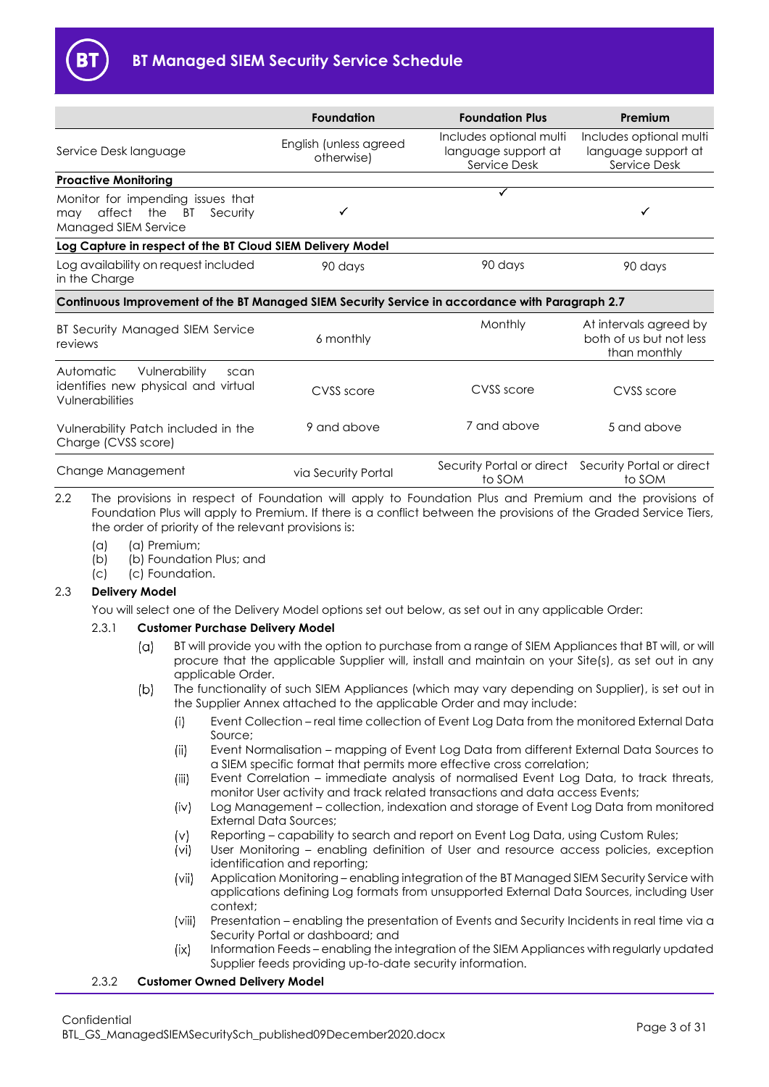

|                                                                                                 | <b>Foundation</b>                    | <b>Foundation Plus</b>                                         | Premium                                                           |
|-------------------------------------------------------------------------------------------------|--------------------------------------|----------------------------------------------------------------|-------------------------------------------------------------------|
| Service Desk language                                                                           | English (unless agreed<br>otherwise) | Includes optional multi<br>language support at<br>Service Desk | Includes optional multi<br>language support at<br>Service Desk    |
| <b>Proactive Monitoring</b>                                                                     |                                      |                                                                |                                                                   |
| Monitor for impending issues that<br>affect the BT<br>Security<br>may<br>Managed SIEM Service   |                                      |                                                                |                                                                   |
| Log Capture in respect of the BT Cloud SIEM Delivery Model                                      |                                      |                                                                |                                                                   |
| Log availability on request included<br>in the Charge                                           | 90 days                              | 90 days                                                        | 90 days                                                           |
| Continuous Improvement of the BT Managed SIEM Security Service in accordance with Paragraph 2.7 |                                      |                                                                |                                                                   |
| BT Security Managed SIEM Service<br>reviews                                                     | 6 monthly                            | Monthly                                                        | At intervals agreed by<br>both of us but not less<br>than monthly |
| Vulnerability<br>Automatic<br>scan<br>identifies new physical and virtual<br>Vulnerabilities    | CVSS score                           | CVSS score                                                     | CVSS score                                                        |
| Vulnerability Patch included in the<br>Charge (CVSS score)                                      | 9 and above                          | 7 and above                                                    | 5 and above                                                       |
| Change Management                                                                               | via Security Portal                  | Security Portal or direct<br>to SOM                            | Security Portal or direct<br>to SOM                               |

2.2 The provisions in respect of Foundation will apply to Foundation Plus and Premium and the provisions of Foundation Plus will apply to Premium. If there is a conflict between the provisions of the Graded Service Tiers, the order of priority of the relevant provisions is:

- 
- (a) (a) Premium;<br>(b) (b) Foundatio (b) Foundation Plus; and
- (c) (c) Foundation.

### <span id="page-2-1"></span>2.3 **Delivery Model**

You will select one of the Delivery Model options set out below, as set out in any applicable Order:

### 2.3.1 **Customer Purchase Delivery Model**

- BT will provide you with the option to purchase from a range of SIEM Appliances that BT will, or will  $(\alpha)$ procure that the applicable Supplier will, install and maintain on your Site(s), as set out in any applicable Order.
- $(b)$ The functionality of such SIEM Appliances (which may vary depending on Supplier), is set out in the Supplier Annex attached to the applicable Order and may include:
	- $(i)$ Event Collection – real time collection of Event Log Data from the monitored External Data Source;
	- $(ii)$ Event Normalisation – mapping of Event Log Data from different External Data Sources to a SIEM specific format that permits more effective cross correlation;
	- $(iii)$ Event Correlation – immediate analysis of normalised Event Log Data, to track threats, monitor User activity and track related transactions and data access Events;
	- $(iv)$ Log Management – collection, indexation and storage of Event Log Data from monitored External Data Sources;
	- Reporting capability to search and report on Event Log Data, using Custom Rules;  $(v)$
	- $(v<sub>i</sub>)$ User Monitoring – enabling definition of User and resource access policies, exception identification and reporting;
	- $(vii)$ Application Monitoring – enabling integration of the BT Managed SIEM Security Service with applications defining Log formats from unsupported External Data Sources, including User context;
	- $(viii)$ Presentation – enabling the presentation of Events and Security Incidents in real time via a Security Portal or dashboard; and
	- Information Feeds enabling the integration of the SIEM Appliances with regularly updated  $(i \times)$ Supplier feeds providing up-to-date security information.

### <span id="page-2-0"></span>2.3.2 **Customer Owned Delivery Model**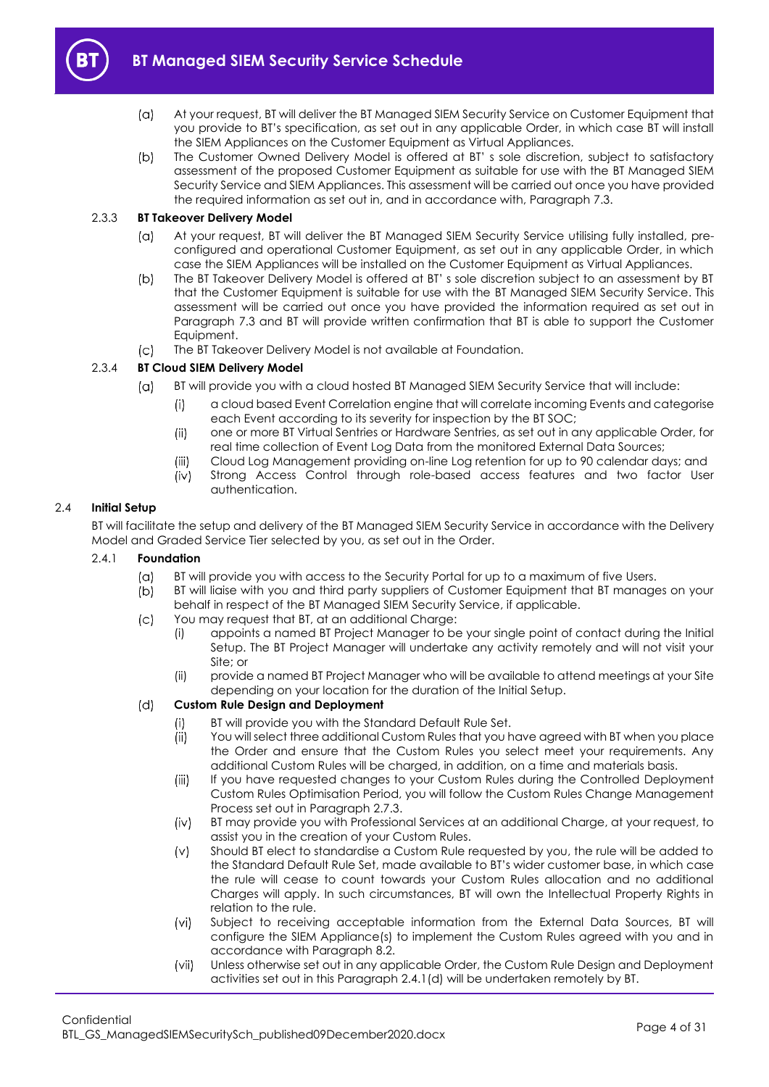

- $(a)$ At your request, BT will deliver the BT Managed SIEM Security Service on Customer Equipment that you provide to BT's specification, as set out in any applicable Order, in which case BT will install the SIEM Appliances on the Customer Equipment as Virtual Appliances.
- $(b)$ The Customer Owned Delivery Model is offered at BT' s sole discretion, subject to satisfactory assessment of the proposed Customer Equipment as suitable for use with the BT Managed SIEM Security Service and SIEM Appliances. This assessment will be carried out once you have provided the required information as set out in, and in accordance with, Paragrap[h 7.3.](#page-16-0)

### <span id="page-3-6"></span>2.3.3 **BT Takeover Delivery Model**

- At your request, BT will deliver the BT Managed SIEM Security Service utilising fully installed, pre- $(\alpha)$ configured and operational Customer Equipment, as set out in any applicable Order, in which case the SIEM Appliances will be installed on the Customer Equipment as Virtual Appliances.
- $(b)$ The BT Takeover Delivery Model is offered at BT' s sole discretion subject to an assessment by BT that the Customer Equipment is suitable for use with the BT Managed SIEM Security Service. This assessment will be carried out once you have provided the information required as set out in Paragraph [7.3](#page-16-0) and BT will provide written confirmation that BT is able to support the Customer Equipment.
- The BT Takeover Delivery Model is not available at Foundation.  $(c)$

### <span id="page-3-3"></span>2.3.4 **BT Cloud SIEM Delivery Model**

- $(a)$ BT will provide you with a cloud hosted BT Managed SIEM Security Service that will include:
	- a cloud based Event Correlation engine that will correlate incoming Events and categorise  $(i)$ each Event according to its severity for inspection by the BT SOC;
	- one or more BT Virtual Sentries or Hardware Sentries, as set out in any applicable Order, for  $(ii)$ real time collection of Event Log Data from the monitored External Data Sources;
	- Cloud Log Management providing on-line Log retention for up to 90 calendar days; and  $(iii)$
	- Strong Access Control through role-based access features and two factor User  $(iv)$ authentication.

### <span id="page-3-0"></span>2.4 **Initial Setup**

BT will facilitate the setup and delivery of the BT Managed SIEM Security Service in accordance with the Delivery Model and Graded Service Tier selected by you, as set out in the Order.

### <span id="page-3-4"></span><span id="page-3-2"></span>2.4.1 **Foundation**

- $(a)$ BT will provide you with access to the Security Portal for up to a maximum of five Users.
- $(b)$ BT will liaise with you and third party suppliers of Customer Equipment that BT manages on your behalf in respect of the BT Managed SIEM Security Service, if applicable.
- $(c)$ You may request that BT, at an additional Charge:
	- (i) appoints a named BT Project Manager to be your single point of contact during the Initial Setup. The BT Project Manager will undertake any activity remotely and will not visit your Site; or
	- (ii) provide a named BT Project Manager who will be available to attend meetings at your Site depending on your location for the duration of the Initial Setup.

#### <span id="page-3-5"></span><span id="page-3-1"></span> $(d)$ **Custom Rule Design and Deployment**

- $(i)$ BT will provide you with the Standard Default Rule Set.
- $(ii)$ You will select three additional Custom Rules that you have agreed with BT when you place the Order and ensure that the Custom Rules you select meet your requirements. Any additional Custom Rules will be charged, in addition, on a time and materials basis.
- $(iii)$ If you have requested changes to your Custom Rules during the Controlled Deployment Custom Rules Optimisation Period, you will follow the Custom Rules Change Management Process set out in Paragraph [2.7.3.](#page-11-0)
- $(iv)$ BT may provide you with Professional Services at an additional Charge, at your request, to assist you in the creation of your Custom Rules.
- $(v)$ Should BT elect to standardise a Custom Rule requested by you, the rule will be added to the Standard Default Rule Set, made available to BT's wider customer base, in which case the rule will cease to count towards your Custom Rules allocation and no additional Charges will apply. In such circumstances, BT will own the Intellectual Property Rights in relation to the rule.
- $(vi)$ Subject to receiving acceptable information from the External Data Sources, BT will configure the SIEM Appliance(s) to implement the Custom Rules agreed with you and in accordance with Paragraph [8.2.](#page-19-2)
- $(vii)$ Unless otherwise set out in any applicable Order, the Custom Rule Design and Deployment activities set out in this Paragrap[h 2.4.1\(d\)](#page-3-1) will be undertaken remotely by BT.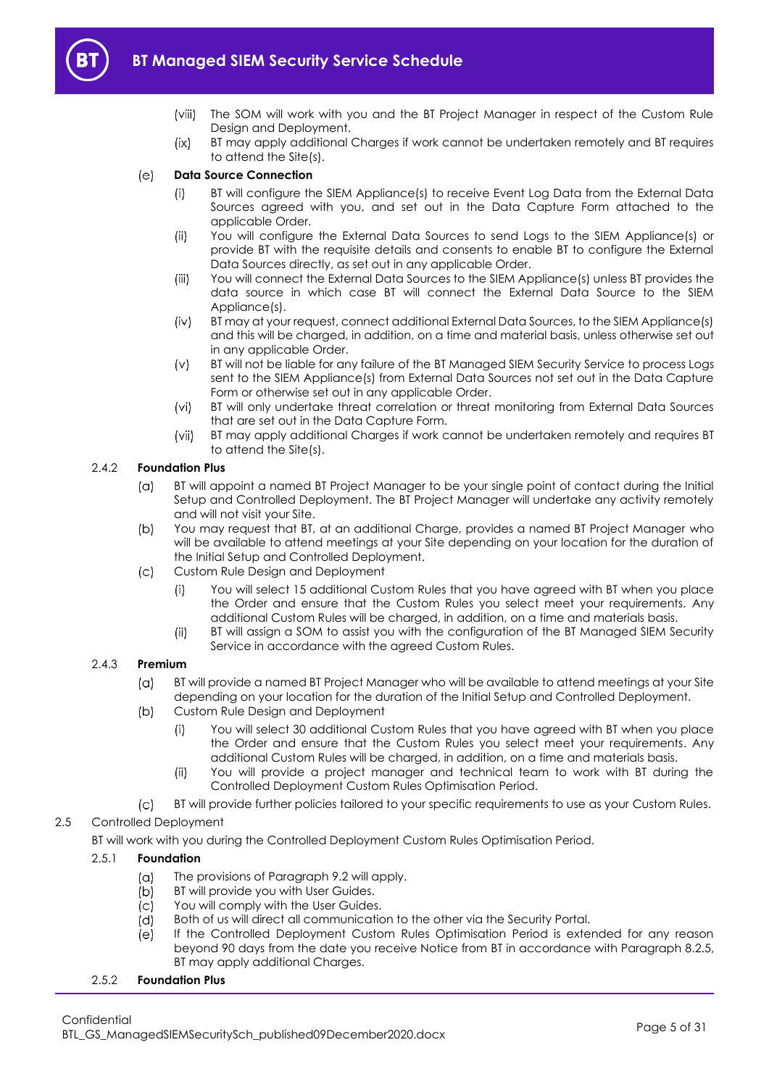

- 
- $(viii)$ The SOM will work with you and the BT Project Manager in respect of the Custom Rule Design and Deployment.
- BT may apply additional Charges if work cannot be undertaken remotely and BT requires  $(ix)$ to attend the Site(s).

#### <span id="page-4-7"></span> $(e)$ **Data Source Connection**

- BT will configure the SIEM Appliance(s) to receive Event Log Data from the External Data  $(i)$ Sources agreed with you, and set out in the Data Capture Form attached to the applicable Order.
- $(ii)$ You will configure the External Data Sources to send Logs to the SIEM Appliance(s) or provide BT with the requisite details and consents to enable BT to configure the External Data Sources directly, as set out in any applicable Order.
- $(iii)$ You will connect the External Data Sources to the SIEM Appliance(s) unless BT provides the data source in which case BT will connect the External Data Source to the SIEM Appliance(s).
- <span id="page-4-3"></span> $(iv)$ BT may at your request, connect additional External Data Sources, to the SIEM Appliance(s) and this will be charged, in addition, on a time and material basis, unless otherwise set out in any applicable Order.
- BT will not be liable for any failure of the BT Managed SIEM Security Service to process Logs  $(v)$ sent to the SIEM Appliance(s) from External Data Sources not set out in the Data Capture Form or otherwise set out in any applicable Order.
- BT will only undertake threat correlation or threat monitoring from External Data Sources  $(vi)$ that are set out in the Data Capture Form.
- $(vii)$ BT may apply additional Charges if work cannot be undertaken remotely and requires BT to attend the Site(s).

### <span id="page-4-4"></span><span id="page-4-2"></span>2.4.2 **Foundation Plus**

- BT will appoint a named BT Project Manager to be your single point of contact during the Initial  $(a)$ Setup and Controlled Deployment. The BT Project Manager will undertake any activity remotely and will not visit your Site.
- $(b)$ You may request that BT, at an additional Charge, provides a named BT Project Manager who will be available to attend meetings at your Site depending on your location for the duration of the Initial Setup and Controlled Deployment.
- $(c)$ Custom Rule Design and Deployment
	- You will select 15 additional Custom Rules that you have agreed with BT when you place  $(i)$ the Order and ensure that the Custom Rules you select meet your requirements. Any additional Custom Rules will be charged, in addition, on a time and materials basis.
	- BT will assign a SOM to assist you with the configuration of the BT Managed SIEM Security  $(ii)$ Service in accordance with the agreed Custom Rules.

### <span id="page-4-6"></span><span id="page-4-5"></span>2.4.3 **Premium**

- $(a)$ BT will provide a named BT Project Manager who will be available to attend meetings at your Site depending on your location for the duration of the Initial Setup and Controlled Deployment.
- $(b)$ Custom Rule Design and Deployment
	- You will select 30 additional Custom Rules that you have agreed with BT when you place  $(i)$ the Order and ensure that the Custom Rules you select meet your requirements. Any additional Custom Rules will be charged, in addition, on a time and materials basis.
	- $(ii)$ You will provide a project manager and technical team to work with BT during the Controlled Deployment Custom Rules Optimisation Period.
- BT will provide further policies tailored to your specific requirements to use as your Custom Rules.  $|C|$

### <span id="page-4-0"></span>2.5 Controlled Deployment

BT will work with you during the Controlled Deployment Custom Rules Optimisation Period.

### 2.5.1 **Foundation**

- $(a)$ The provisions of Paragraph [9.2](#page-22-0) will apply.
- $(b)$ BT will provide you with User Guides.
- $(c)$ You will comply with the User Guides.
- $(d)$ Both of us will direct all communication to the other via the Security Portal.
- $(e)$ If the Controlled Deployment Custom Rules Optimisation Period is extended for any reason beyond 90 days from the date you receive Notice from BT in accordance with Paragraph [8.2.5,](#page-19-3)  BT may apply additional Charges.

### <span id="page-4-1"></span>2.5.2 **Foundation Plus**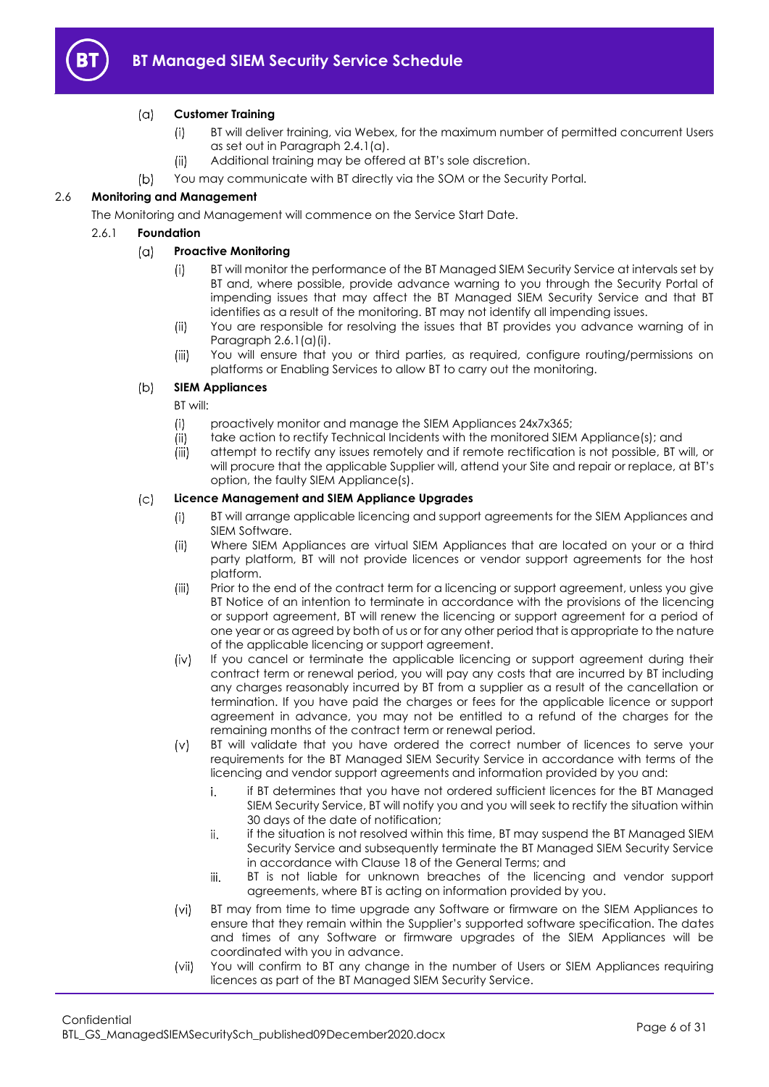

#### $(a)$ **Customer Training**

- BT will deliver training, via Webex, for the maximum number of permitted concurrent Users  $(i)$ as set out in Paragraph [2.4.1\(a\).](#page-3-2)
- $(ii)$ Additional training may be offered at BT's sole discretion.
- $(b)$ You may communicate with BT directly via the SOM or the Security Portal.

### <span id="page-5-0"></span>2.6 **Monitoring and Management**

The Monitoring and Management will commence on the Service Start Date.

### <span id="page-5-1"></span>2.6.1 **Foundation**

#### $(a)$ **Proactive Monitoring**

- BT will monitor the performance of the BT Managed SIEM Security Service at intervals set by  $(i)$ BT and, where possible, provide advance warning to you through the Security Portal of impending issues that may affect the BT Managed SIEM Security Service and that BT identifies as a result of the monitoring. BT may not identify all impending issues.
- You are responsible for resolving the issues that BT provides you advance warning of in  $(ii)$ Paragraph [2.6.1\(a\)\(i\).](#page-5-1)
- $(iii)$ You will ensure that you or third parties, as required, configure routing/permissions on platforms or Enabling Services to allow BT to carry out the monitoring.

#### $(b)$ **SIEM Appliances**

BT will:

- $(i)$ proactively monitor and manage the SIEM Appliances 24x7x365;
- $(ii)$ take action to rectify Technical Incidents with the monitored SIEM Appliance(s); and
- attempt to rectify any issues remotely and if remote rectification is not possible, BT will, or  $(iii)$ will procure that the applicable Supplier will, attend your Site and repair or replace, at BT's option, the faulty SIEM Appliance(s).

#### $(c)$ **Licence Management and SIEM Appliance Upgrades**

- BT will arrange applicable licencing and support agreements for the SIEM Appliances and  $(i)$ SIEM Software.
- $(ii)$ Where SIEM Appliances are virtual SIEM Appliances that are located on your or a third party platform, BT will not provide licences or vendor support agreements for the host platform.
- $(iii)$ Prior to the end of the contract term for a licencing or support agreement, unless you give BT Notice of an intention to terminate in accordance with the provisions of the licencing or support agreement, BT will renew the licencing or support agreement for a period of one year or as agreed by both of us or for any other period that is appropriate to the nature of the applicable licencing or support agreement.
- $(iv)$ If you cancel or terminate the applicable licencing or support agreement during their contract term or renewal period, you will pay any costs that are incurred by BT including any charges reasonably incurred by BT from a supplier as a result of the cancellation or termination. If you have paid the charges or fees for the applicable licence or support agreement in advance, you may not be entitled to a refund of the charges for the remaining months of the contract term or renewal period.
- $(v)$ BT will validate that you have ordered the correct number of licences to serve your requirements for the BT Managed SIEM Security Service in accordance with terms of the licencing and vendor support agreements and information provided by you and:
	- i. if BT determines that you have not ordered sufficient licences for the BT Managed SIEM Security Service, BT will notify you and you will seek to rectify the situation within 30 days of the date of notification;
	- ii. if the situation is not resolved within this time, BT may suspend the BT Managed SIEM Security Service and subsequently terminate the BT Managed SIEM Security Service in accordance with Clause 18 of the General Terms; and
	- iii. BT is not liable for unknown breaches of the licencing and vendor support agreements, where BT is acting on information provided by you.
- $(vi)$ BT may from time to time upgrade any Software or firmware on the SIEM Appliances to ensure that they remain within the Supplier's supported software specification. The dates and times of any Software or firmware upgrades of the SIEM Appliances will be coordinated with you in advance.
- $(vii)$ You will confirm to BT any change in the number of Users or SIEM Appliances requiring licences as part of the BT Managed SIEM Security Service.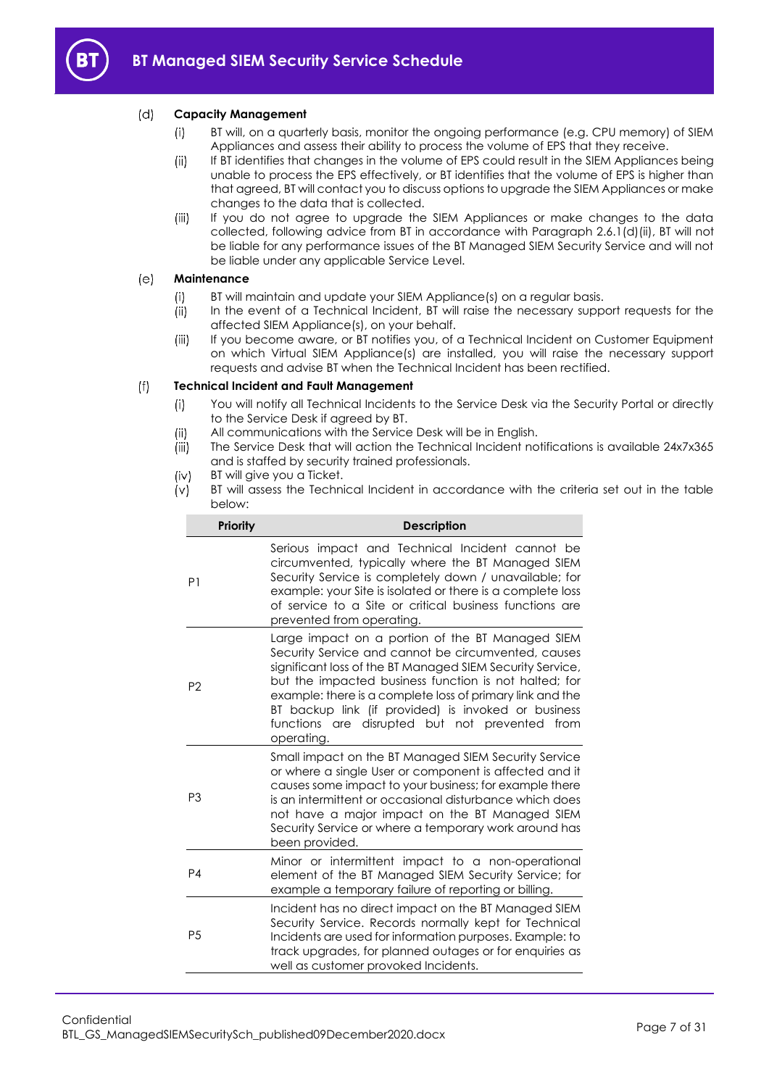

#### <span id="page-6-0"></span> $(d)$ **Capacity Management**

- BT will, on a quarterly basis, monitor the ongoing performance (e.g. CPU memory) of SIEM  $(i)$ Appliances and assess their ability to process the volume of EPS that they receive.
- $(ii)$ If BT identifies that changes in the volume of EPS could result in the SIEM Appliances being unable to process the EPS effectively, or BT identifies that the volume of EPS is higher than that agreed, BT will contact you to discuss options to upgrade the SIEM Appliances or make changes to the data that is collected.
- If you do not agree to upgrade the SIEM Appliances or make changes to the data  $(iii)$ collected, following advice from BT in accordance with Paragraph [2.6.1\(d\)\(ii\),](#page-6-0) BT will not be liable for any performance issues of the BT Managed SIEM Security Service and will not be liable under any applicable Service Level.

#### $(e)$ **Maintenance**

- BT will maintain and update your SIEM Appliance(s) on a regular basis.  $(i)$
- $(ii)$ In the event of a Technical Incident, BT will raise the necessary support requests for the affected SIEM Appliance(s), on your behalf.
- $(iii)$ If you become aware, or BT notifies you, of a Technical Incident on Customer Equipment on which Virtual SIEM Appliance(s) are installed, you will raise the necessary support requests and advise BT when the Technical Incident has been rectified.

#### <span id="page-6-2"></span> $(f)$ **Technical Incident and Fault Management**

- You will notify all Technical Incidents to the Service Desk via the Security Portal or directly  $(i)$ to the Service Desk if agreed by BT.
- All communications with the Service Desk will be in English.  $(ii)$
- (iii) The Service Desk that will action the Technical Incident notifications is available 24x7x365 and is staffed by security trained professionals.
- <span id="page-6-1"></span>BT will give you a Ticket.  $(iv)$
- <span id="page-6-3"></span> $(v)$ BT will assess the Technical Incident in accordance with the criteria set out in the table below:

| <b>Priority</b> | <b>Description</b>                                                                                                                                                                                                                                                                                                                                                                                                   |
|-----------------|----------------------------------------------------------------------------------------------------------------------------------------------------------------------------------------------------------------------------------------------------------------------------------------------------------------------------------------------------------------------------------------------------------------------|
| P <sub>1</sub>  | Serious impact and Technical Incident cannot be<br>circumvented, typically where the BT Managed SIEM<br>Security Service is completely down / unavailable; for<br>example: your Site is isolated or there is a complete loss<br>of service to a Site or critical business functions are<br>prevented from operating.                                                                                                 |
| P <sub>2</sub>  | Large impact on a portion of the BT Managed SIEM<br>Security Service and cannot be circumvented, causes<br>significant loss of the BT Managed SIEM Security Service,<br>but the impacted business function is not halted; for<br>example: there is a complete loss of primary link and the<br>BT backup link (if provided) is invoked or business<br>functions are disrupted but not prevented<br>from<br>operating. |
| P <sub>3</sub>  | Small impact on the BT Managed SIEM Security Service<br>or where a single User or component is affected and it<br>causes some impact to your business; for example there<br>is an intermittent or occasional disturbance which does<br>not have a major impact on the BT Managed SIEM<br>Security Service or where a temporary work around has<br>been provided.                                                     |
| P <sub>4</sub>  | Minor or intermittent impact to a non-operational<br>element of the BT Managed SIEM Security Service; for<br>example a temporary failure of reporting or billing.                                                                                                                                                                                                                                                    |
| P <sub>5</sub>  | Incident has no direct impact on the BT Managed SIEM<br>Security Service. Records normally kept for Technical<br>Incidents are used for information purposes. Example: to<br>track upgrades, for planned outages or for enquiries as<br>well as customer provoked Incidents.                                                                                                                                         |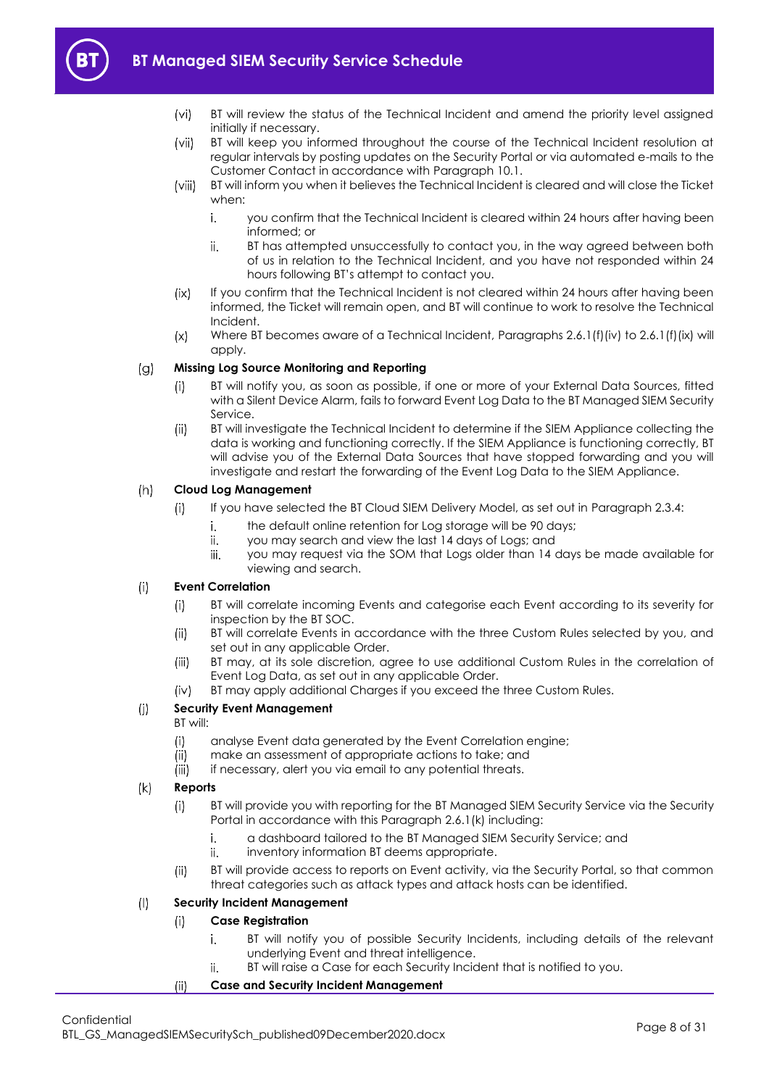# **BT Managed SIEM Security Service Schedule**



- $(v<sub>i</sub>)$ BT will review the status of the Technical Incident and amend the priority level assigned initially if necessary.
- $(vii)$ BT will keep you informed throughout the course of the Technical Incident resolution at regular intervals by posting updates on the Security Portal or via automated e-mails to the Customer Contact in accordance with Paragraph [10.1.](#page-24-2)
- <span id="page-7-2"></span>BT will inform you when it believes the Technical Incident is cleared and will close the Ticket  $(viii)$ when:
	- i. you confirm that the Technical Incident is cleared within 24 hours after having been informed; or
	- BT has attempted unsuccessfully to contact you, in the way agreed between both ii. of us in relation to the Technical Incident, and you have not responded within 24 hours following BT's attempt to contact you.
- If you confirm that the Technical Incident is not cleared within 24 hours after having been  $(ix)$ informed, the Ticket will remain open, and BT will continue to work to resolve the Technical Incident.
- Where BT becomes aware of a Technical Incident, Paragraph[s 2.6.1\(f\)\(iv\)](#page-6-1) to [2.6.1\(f\)\(ix\)](#page-7-0) will  $(x)$ apply.

#### <span id="page-7-0"></span> $(q)$ **Missing Log Source Monitoring and Reporting**

- BT will notify you, as soon as possible, if one or more of your External Data Sources, fitted  $(i)$ with a Silent Device Alarm, fails to forward Event Log Data to the BT Managed SIEM Security Service.
- $(ii)$ BT will investigate the Technical Incident to determine if the SIEM Appliance collecting the data is working and functioning correctly. If the SIEM Appliance is functioning correctly, BT will advise you of the External Data Sources that have stopped forwarding and you will investigate and restart the forwarding of the Event Log Data to the SIEM Appliance.

#### $(h)$ **Cloud Log Management**

- $(i)$ If you have selected the BT Cloud SIEM Delivery Model, as set out in Paragraph [2.3.4:](#page-3-3)
	- i. the default online retention for Log storage will be 90 days;
	- ii. you may search and view the last 14 days of Logs; and
	- you may request via the SOM that Logs older than 14 days be made available for iii. viewing and search.

#### **Event Correlation**  $(i)$

- $(i)$ BT will correlate incoming Events and categorise each Event according to its severity for inspection by the BT SOC.
- $(ii)$ BT will correlate Events in accordance with the three Custom Rules selected by you, and set out in any applicable Order.
- $(iii)$ BT may, at its sole discretion, agree to use additional Custom Rules in the correlation of Event Log Data, as set out in any applicable Order.
- BT may apply additional Charges if you exceed the three Custom Rules.  $(iv)$

#### $(i)$ **Security Event Management**

BT will:

- analyse Event data generated by the Event Correlation engine;  $(i)$
- make an assessment of appropriate actions to take; and  $(ii)$
- $(iii)$ if necessary, alert you via email to any potential threats.

#### <span id="page-7-1"></span> $(k)$ **Reports**

- BT will provide you with reporting for the BT Managed SIEM Security Service via the Security  $(i)$ Portal in accordance with this Paragrap[h 2.6.1\(k\)](#page-7-1) including:
	- i. a dashboard tailored to the BT Managed SIEM Security Service; and
	- ii. inventory information BT deems appropriate.
- BT will provide access to reports on Event activity, via the Security Portal, so that common  $(ii)$ threat categories such as attack types and attack hosts can be identified.

#### $($ | **Security Incident Management**

#### $(i)$ **Case Registration**

- BT will notify you of possible Security Incidents, including details of the relevant i. underlying Event and threat intelligence.
- BT will raise a Case for each Security Incident that is notified to you. ii.

#### $(ii)$ **Case and Security Incident Management**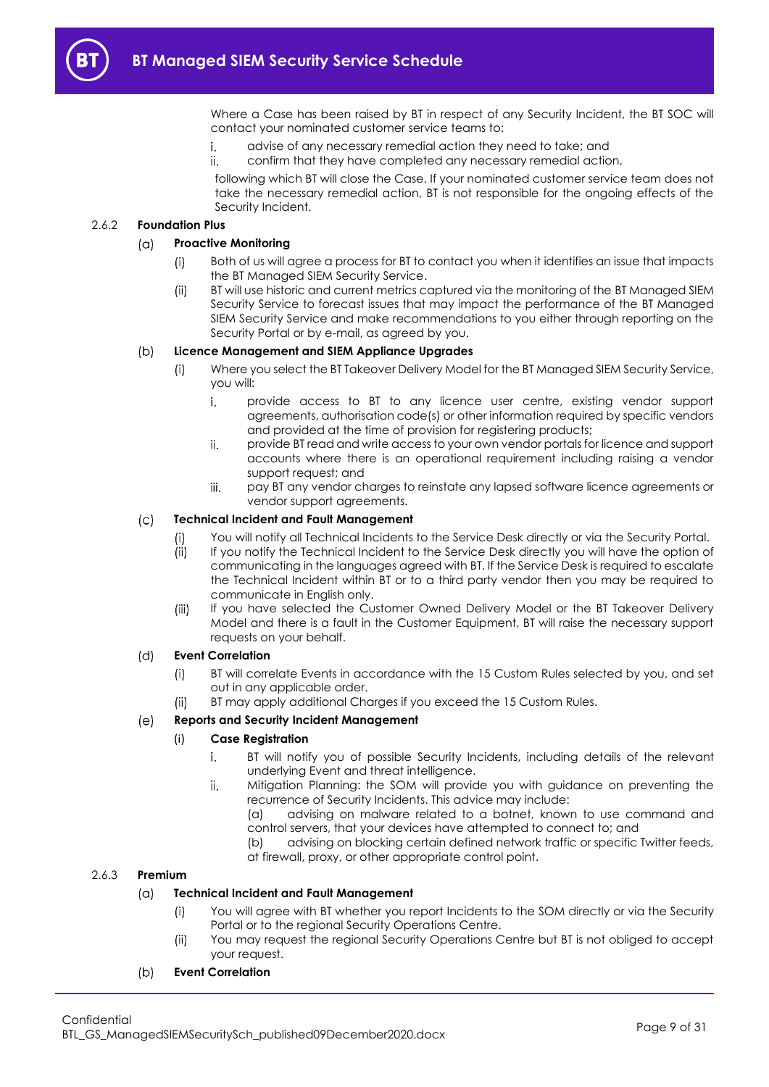Where a Case has been raised by BT in respect of any Security Incident, the BT SOC will contact your nominated customer service teams to:

- advise of any necessary remedial action they need to take; and i.
- ii. confirm that they have completed any necessary remedial action,

following which BT will close the Case. If your nominated customer service team does not take the necessary remedial action, BT is not responsible for the ongoing effects of the Security Incident.

### 2.6.2 **Foundation Plus**

#### **Proactive Monitoring**  $(n)$

- Both of us will agree a process for BT to contact you when it identifies an issue that impacts  $(i)$ the BT Managed SIEM Security Service.
- BT will use historic and current metrics captured via the monitoring of the BT Managed SIEM  $(ii)$ Security Service to forecast issues that may impact the performance of the BT Managed SIEM Security Service and make recommendations to you either through reporting on the Security Portal or by e-mail, as agreed by you.

#### $(b)$ **Licence Management and SIEM Appliance Upgrades**

- Where you select the BT Takeover Delivery Model for the BT Managed SIEM Security Service,  $(i)$ you will:
	- i. provide access to BT to any licence user centre, existing vendor support agreements, authorisation code(s) or other information required by specific vendors and provided at the time of provision for registering products;
	- ii. provide BT read and write access to your own vendor portals for licence and support accounts where there is an operational requirement including raising a vendor support request; and
	- iii. pay BT any vendor charges to reinstate any lapsed software licence agreements or vendor support agreements.

#### $(c)$ **Technical Incident and Fault Management**

- You will notify all Technical Incidents to the Service Desk directly or via the Security Portal.  $\left($ i
- $(i)$ If you notify the Technical Incident to the Service Desk directly you will have the option of communicating in the languages agreed with BT. If the Service Desk is required to escalate the Technical Incident within BT or to a third party vendor then you may be required to communicate in English only.
- If you have selected the Customer Owned Delivery Model or the BT Takeover Delivery  $(iii)$ Model and there is a fault in the Customer Equipment, BT will raise the necessary support requests on your behalf.

#### **Event Correlation**  $(d)$

- BT will correlate Events in accordance with the 15 Custom Rules selected by you, and set  $(i)$ out in any applicable order.
- $(ii)$ BT may apply additional Charges if you exceed the 15 Custom Rules.

#### **Reports and Security Incident Management**  $(e)$

### (i) **Case Registration**

- i. BT will notify you of possible Security Incidents, including details of the relevant underlying Event and threat intelligence.
- ii. Mitigation Planning: the SOM will provide you with guidance on preventing the recurrence of Security Incidents. This advice may include:

(a) advising on malware related to a botnet, known to use command and control servers, that your devices have attempted to connect to; and

(b) advising on blocking certain defined network traffic or specific Twitter feeds, at firewall, proxy, or other appropriate control point.

### 2.6.3 **Premium**

#### $(\alpha)$ **Technical Incident and Fault Management**

- You will agree with BT whether you report Incidents to the SOM directly or via the Security  $(i)$ Portal or to the regional Security Operations Centre.
- $(ii)$ You may request the regional Security Operations Centre but BT is not obliged to accept your request.

#### $(b)$ **Event Correlation**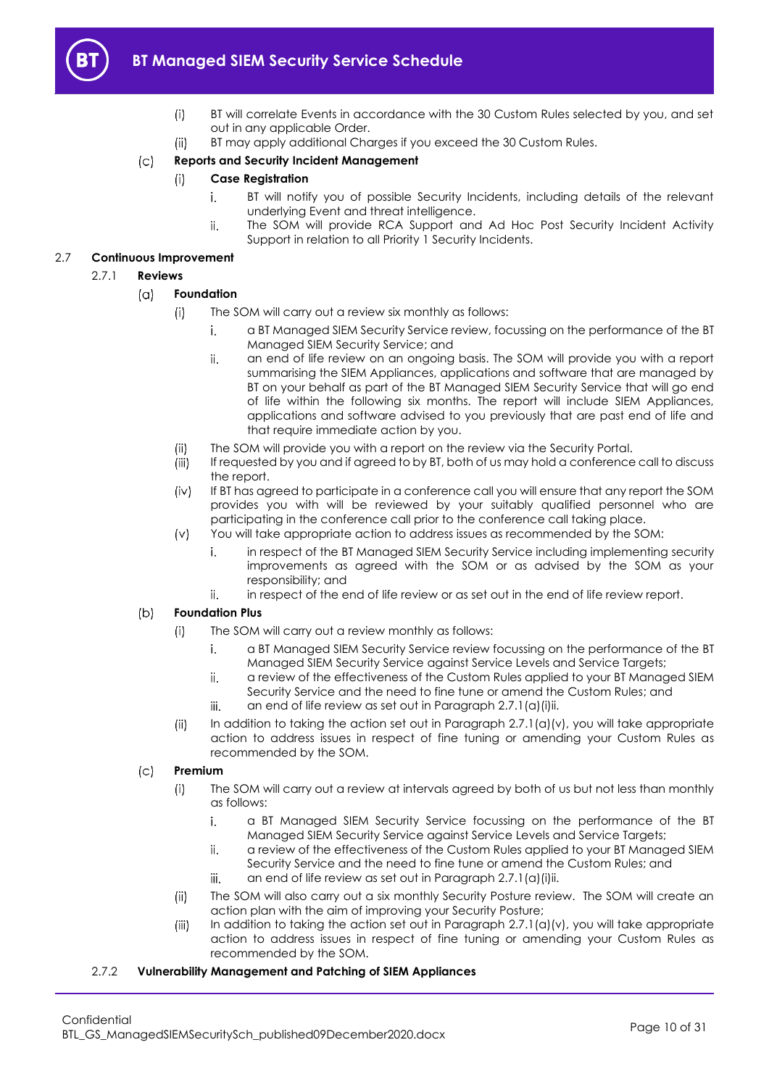

## **BT Managed SIEM Security Service Schedule**

- $(i)$ BT will correlate Events in accordance with the 30 Custom Rules selected by you, and set out in any applicable Order.
- $(ii)$ BT may apply additional Charges if you exceed the 30 Custom Rules.

#### $(c)$ **Reports and Security Incident Management**

- **Case Registration**  $(i)$ 
	- i. BT will notify you of possible Security Incidents, including details of the relevant underlying Event and threat intelligence.
	- The SOM will provide RCA Support and Ad Hoc Post Security Incident Activity ii. Support in relation to all Priority 1 Security Incidents.

### <span id="page-9-0"></span>2.7 **Continuous Improvement**

### <span id="page-9-1"></span>2.7.1 **Reviews**

#### $(a)$ **Foundation**

- $(i)$ The SOM will carry out a review six monthly as follows:
	- i. a BT Managed SIEM Security Service review, focussing on the performance of the BT Managed SIEM Security Service; and
		- ii. an end of life review on an ongoing basis. The SOM will provide you with a report summarising the SIEM Appliances, applications and software that are managed by BT on your behalf as part of the BT Managed SIEM Security Service that will go end of life within the following six months. The report will include SIEM Appliances, applications and software advised to you previously that are past end of life and that require immediate action by you.
- The SOM will provide you with a report on the review via the Security Portal.  $(ii)$
- iii) If requested by you and if agreed to by BT, both of us may hold a conference call to discuss the report.
- If BT has agreed to participate in a conference call you will ensure that any report the SOM  $(iv)$ provides you with will be reviewed by your suitably qualified personnel who are participating in the conference call prior to the conference call taking place.
- You will take appropriate action to address issues as recommended by the SOM:  $(v)$ 
	- i. in respect of the BT Managed SIEM Security Service including implementing security improvements as agreed with the SOM or as advised by the SOM as your responsibility; and
	- ii. in respect of the end of life review or as set out in the end of life review report.

#### <span id="page-9-2"></span> $(b)$ **Foundation Plus**

- The SOM will carry out a review monthly as follows:  $(i)$ 
	- i. a BT Managed SIEM Security Service review focussing on the performance of the BT Managed SIEM Security Service against Service Levels and Service Targets;
	- ii. a review of the effectiveness of the Custom Rules applied to your BT Managed SIEM Security Service and the need to fine tune or amend the Custom Rules; and
	- iii. an end of life review as set out in Paragrap[h 2.7.1\(a\)\(i\)ii.](#page-9-1)
- In addition to taking the action set out in Paragraph  $2.7.1(a)(v)$ , you will take appropriate  $(ii)$ action to address issues in respect of fine tuning or amending your Custom Rules as recommended by the SOM.

#### $(c)$ **Premium**

- $(i)$ The SOM will carry out a review at intervals agreed by both of us but not less than monthly as follows:
	- a BT Managed SIEM Security Service focussing on the performance of the BT i. Managed SIEM Security Service against Service Levels and Service Targets;
	- a review of the effectiveness of the Custom Rules applied to your BT Managed SIEM ii. Security Service and the need to fine tune or amend the Custom Rules; and
	- an end of life review as set out in Paragrap[h 2.7.1\(a\)\(i\)ii.](#page-9-1) iii.
- $(ii)$ The SOM will also carry out a six monthly Security Posture review. The SOM will create an action plan with the aim of improving your Security Posture;
- $(iii)$ In addition to taking the action set out in Paragraph  $2.7.1(a)(v)$ , you will take appropriate action to address issues in respect of fine tuning or amending your Custom Rules as recommended by the SOM.

### <span id="page-9-3"></span>2.7.2 **Vulnerability Management and Patching of SIEM Appliances**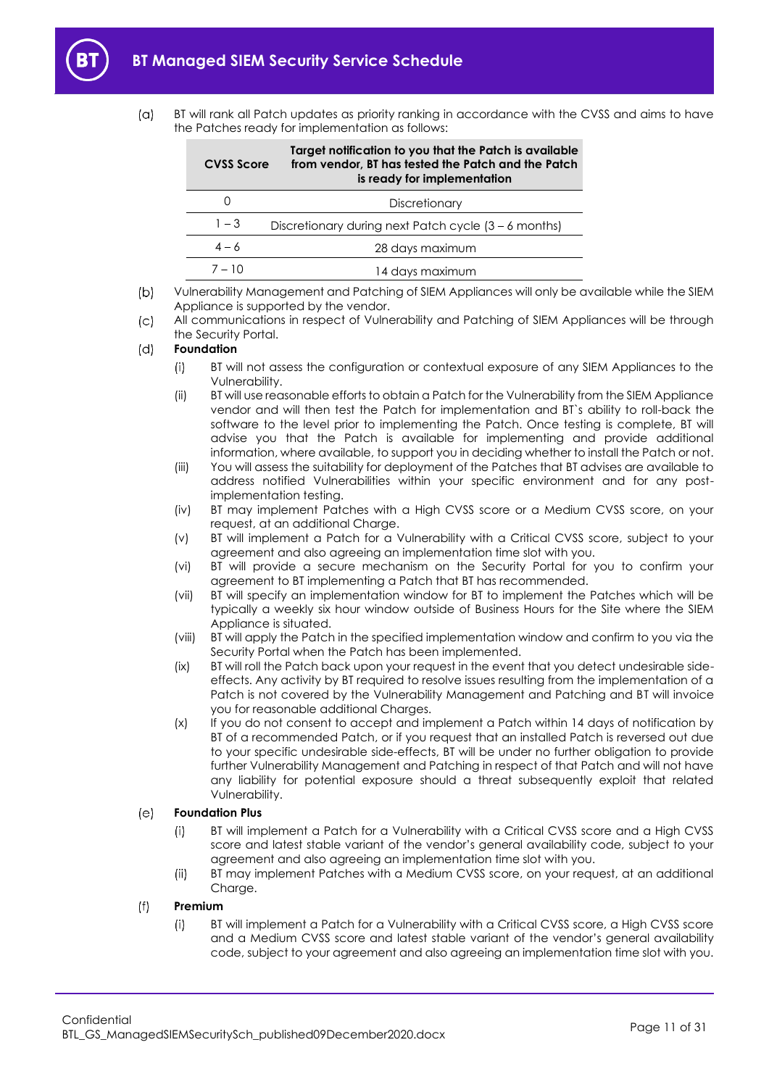<span id="page-10-0"></span> $\overline{a}$ 

| BT will rank all Patch updates as priority ranking in accordance with the CVSS and aims to have |
|-------------------------------------------------------------------------------------------------|
| the Patches ready for implementation as follows:                                                |

| <b>CVSS Score</b> | Target notification to you that the Patch is available<br>from vendor, BT has tested the Patch and the Patch<br>is ready for implementation |
|-------------------|---------------------------------------------------------------------------------------------------------------------------------------------|
|                   | Discretionary                                                                                                                               |
| $1 - 3$           | Discretionary during next Patch cycle (3 – 6 months)                                                                                        |
| $4 - 6$           | 28 days maximum                                                                                                                             |
| $7 - 10$          | 14 days maximum                                                                                                                             |

 $(b)$ Vulnerability Management and Patching of SIEM Appliances will only be available while the SIEM Appliance is supported by the vendor.

All communications in respect of Vulnerability and Patching of SIEM Appliances will be through  $\mathcal{L}$ the Security Portal.

#### <span id="page-10-1"></span> $(d)$ **Foundation**

- $(i)$ BT will not assess the configuration or contextual exposure of any SIEM Appliances to the Vulnerability.
- (ii) BT will use reasonable efforts to obtain a Patch for the Vulnerability from the SIEM Appliance vendor and will then test the Patch for implementation and BT`s ability to roll-back the software to the level prior to implementing the Patch. Once testing is complete, BT will advise you that the Patch is available for implementing and provide additional information, where available, to support you in deciding whether to install the Patch or not.
- (iii) You will assess the suitability for deployment of the Patches that BT advises are available to address notified Vulnerabilities within your specific environment and for any postimplementation testing.
- <span id="page-10-2"></span>(iv) BT may implement Patches with a High CVSS score or a Medium CVSS score, on your request, at an additional Charge.
- (v) BT will implement a Patch for a Vulnerability with a Critical CVSS score, subject to your agreement and also agreeing an implementation time slot with you.
- (vi) BT will provide a secure mechanism on the Security Portal for you to confirm your agreement to BT implementing a Patch that BT has recommended.
- (vii) BT will specify an implementation window for BT to implement the Patches which will be typically a weekly six hour window outside of Business Hours for the Site where the SIEM Appliance is situated.
- (viii) BT will apply the Patch in the specified implementation window and confirm to you via the Security Portal when the Patch has been implemented.
- <span id="page-10-4"></span>(ix) BT will roll the Patch back upon your request in the event that you detect undesirable sideeffects. Any activity by BT required to resolve issues resulting from the implementation of a Patch is not covered by the Vulnerability Management and Patching and BT will invoice you for reasonable additional Charges.
- (x) If you do not consent to accept and implement a Patch within 14 days of notification by BT of a recommended Patch, or if you request that an installed Patch is reversed out due to your specific undesirable side-effects, BT will be under no further obligation to provide further Vulnerability Management and Patching in respect of that Patch and will not have any liability for potential exposure should a threat subsequently exploit that related Vulnerability.

#### $(e)$ **Foundation Plus**

- BT will implement a Patch for a Vulnerability with a Critical CVSS score and a High CVSS  $(i)$ score and latest stable variant of the vendor's general availability code, subject to your agreement and also agreeing an implementation time slot with you.
- $(ii)$ BT may implement Patches with a Medium CVSS score, on your request, at an additional Charge.

#### <span id="page-10-3"></span> $(f)$ **Premium**

BT will implement a Patch for a Vulnerability with a Critical CVSS score, a High CVSS score  $(i)$ and a Medium CVSS score and latest stable variant of the vendor's general availability code, subject to your agreement and also agreeing an implementation time slot with you.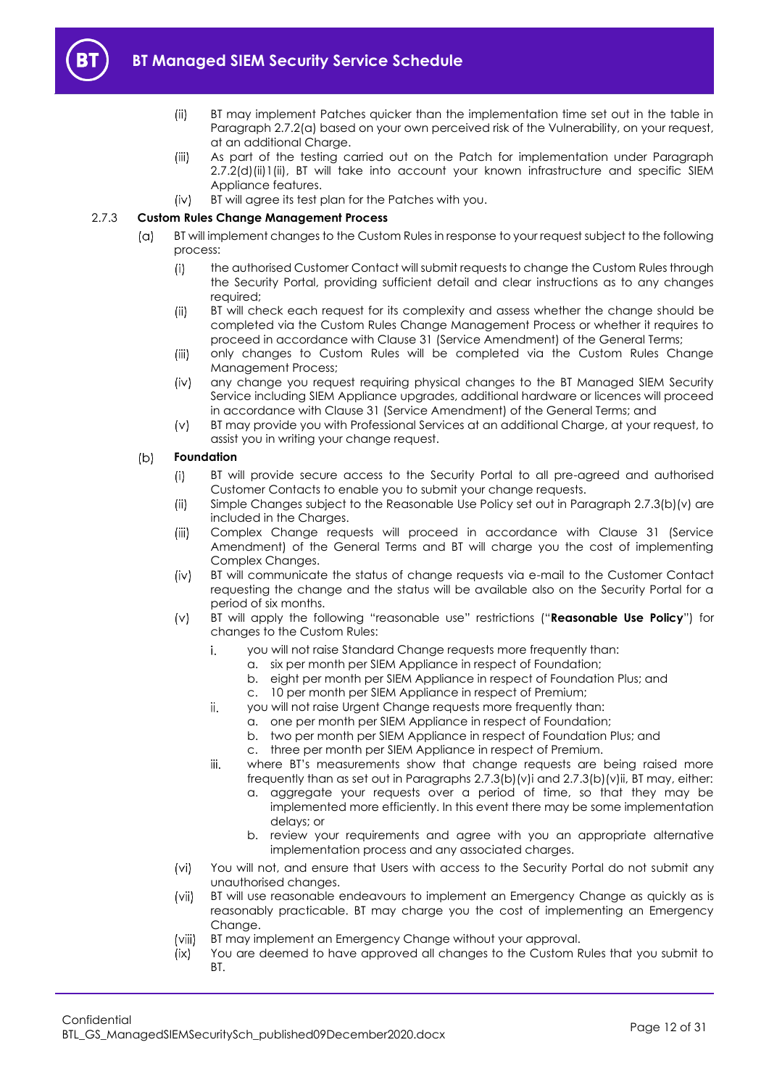<span id="page-11-4"></span>

- $(ii)$ BT may implement Patches quicker than the implementation time set out in the table in Paragraph [2.7.2\(a\)](#page-10-0) based on your own perceived risk of the Vulnerability, on your request, at an additional Charge.
- As part of the testing carried out on the Patch for implementation under Paragraph  $(iii)$ 2.7.2(d[\)\(ii\)1\(ii\),](#page-10-1) BT will take into account your known infrastructure and specific SIEM Appliance features.
- BT will agree its test plan for the Patches with you.  $(iv)$

### <span id="page-11-0"></span>2.7.3 **Custom Rules Change Management Process**

- $(a)$ BT will implement changes to the Custom Rules in response to your request subject to the following process:
	- the authorised Customer Contact will submit requests to change the Custom Rules through  $(i)$ the Security Portal, providing sufficient detail and clear instructions as to any changes required;
	- $(ii)$ BT will check each request for its complexity and assess whether the change should be completed via the Custom Rules Change Management Process or whether it requires to proceed in accordance with Clause 31 (Service Amendment) of the General Terms;
	- $(iii)$ only changes to Custom Rules will be completed via the Custom Rules Change Management Process;
	- $(iv)$ any change you request requiring physical changes to the BT Managed SIEM Security Service including SIEM Appliance upgrades, additional hardware or licences will proceed in accordance with Clause 31 (Service Amendment) of the General Terms; and
	- BT may provide you with Professional Services at an additional Charge, at your request, to  $(v)$ assist you in writing your change request.

#### <span id="page-11-5"></span> $(b)$ **Foundation**

- BT will provide secure access to the Security Portal to all pre-agreed and authorised  $(i)$ Customer Contacts to enable you to submit your change requests.
- $(ii)$ Simple Changes subject to the Reasonable Use Policy set out in Paragraph [2.7.3\(b\)\(v\)](#page-11-1) are included in the Charges.
- $(iii)$ Complex Change requests will proceed in accordance with Clause 31 (Service Amendment) of the General Terms and BT will charge you the cost of implementing Complex Changes.
- $(iv)$ BT will communicate the status of change requests via e-mail to the Customer Contact requesting the change and the status will be available also on the Security Portal for a period of six months.
- <span id="page-11-3"></span><span id="page-11-2"></span><span id="page-11-1"></span>BT will apply the following "reasonable use" restrictions ("**Reasonable Use Policy**") for  $(v)$ changes to the Custom Rules:
	- i. you will not raise Standard Change requests more frequently than:
		- a. six per month per SIEM Appliance in respect of Foundation;
		- b. eight per month per SIEM Appliance in respect of Foundation Plus; and
		- c. 10 per month per SIEM Appliance in respect of Premium;
	- ii. you will not raise Urgent Change requests more frequently than:
		- a. one per month per SIEM Appliance in respect of Foundation;
		- b. two per month per SIEM Appliance in respect of Foundation Plus; and
		- c. three per month per SIEM Appliance in respect of Premium.
	- iii. where BT's measurements show that change requests are being raised more frequently than as set out in Paragraphs [2.7.3\(b\)\(v\)i](#page-11-2) and [2.7.3\(b\)\(v\)ii,](#page-11-3) BT may, either:
		- a. aggregate your requests over a period of time, so that they may be implemented more efficiently. In this event there may be some implementation delays; or
		- b. review your requirements and agree with you an appropriate alternative implementation process and any associated charges.
- <span id="page-11-7"></span> $(vi)$ You will not, and ensure that Users with access to the Security Portal do not submit any unauthorised changes.
- <span id="page-11-6"></span> $(vii)$ BT will use reasonable endeavours to implement an Emergency Change as quickly as is reasonably practicable. BT may charge you the cost of implementing an Emergency Change.
- $(viii)$ BT may implement an Emergency Change without your approval.
- $(ix)$ You are deemed to have approved all changes to the Custom Rules that you submit to **BT.**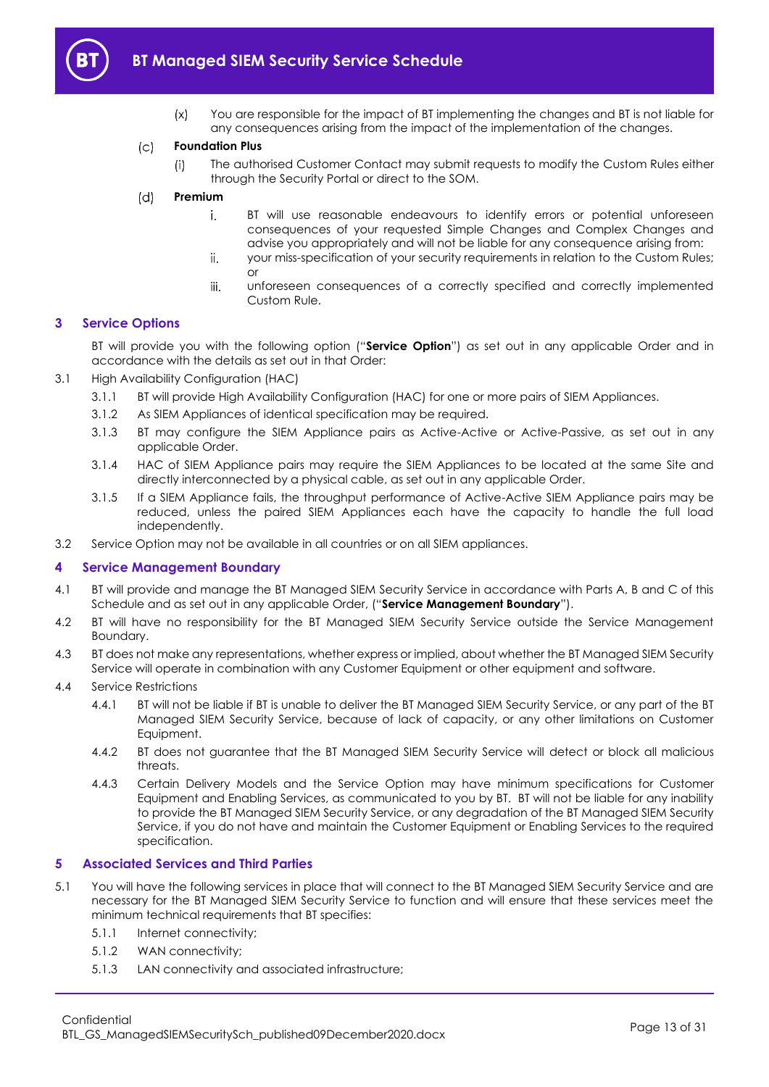

 $(x)$ You are responsible for the impact of BT implementing the changes and BT is not liable for any consequences arising from the impact of the implementation of the changes.

#### $(c)$ **Foundation Plus**

The authorised Customer Contact may submit requests to modify the Custom Rules either  $(i)$ through the Security Portal or direct to the SOM.

#### $(d)$ **Premium**

- i. BT will use reasonable endeavours to identify errors or potential unforeseen consequences of your requested Simple Changes and Complex Changes and advise you appropriately and will not be liable for any consequence arising from:
- ii. your miss-specification of your security requirements in relation to the Custom Rules; or
- iii. unforeseen consequences of a correctly specified and correctly implemented Custom Rule.

### <span id="page-12-0"></span>**3 Service Options**

BT will provide you with the following option ("**Service Option**") as set out in any applicable Order and in accordance with the details as set out in that Order:

- <span id="page-12-4"></span>3.1 High Availability Configuration (HAC)
	- 3.1.1 BT will provide High Availability Configuration (HAC) for one or more pairs of SIEM Appliances.
	- 3.1.2 As SIEM Appliances of identical specification may be required.
	- 3.1.3 BT may configure the SIEM Appliance pairs as Active-Active or Active-Passive, as set out in any applicable Order.
	- 3.1.4 HAC of SIEM Appliance pairs may require the SIEM Appliances to be located at the same Site and directly interconnected by a physical cable, as set out in any applicable Order.
	- 3.1.5 If a SIEM Appliance fails, the throughput performance of Active-Active SIEM Appliance pairs may be reduced, unless the paired SIEM Appliances each have the capacity to handle the full load independently.
- 3.2 Service Option may not be available in all countries or on all SIEM appliances.

### <span id="page-12-1"></span>**4 Service Management Boundary**

- <span id="page-12-5"></span>4.1 BT will provide and manage the BT Managed SIEM Security Service in accordance with Parts A, B and C of this Schedule and as set out in any applicable Order, ("**Service Management Boundary**").
- 4.2 BT will have no responsibility for the BT Managed SIEM Security Service outside the Service Management Boundary.
- 4.3 BT does not make any representations, whether express or implied, about whether the BT Managed SIEM Security Service will operate in combination with any Customer Equipment or other equipment and software.
- 4.4 Service Restrictions
	- 4.4.1 BT will not be liable if BT is unable to deliver the BT Managed SIEM Security Service, or any part of the BT Managed SIEM Security Service, because of lack of capacity, or any other limitations on Customer Equipment.
	- 4.4.2 BT does not guarantee that the BT Managed SIEM Security Service will detect or block all malicious threats.
	- 4.4.3 Certain Delivery Models and the Service Option may have minimum specifications for Customer Equipment and Enabling Services, as communicated to you by BT. BT will not be liable for any inability to provide the BT Managed SIEM Security Service, or any degradation of the BT Managed SIEM Security Service, if you do not have and maintain the Customer Equipment or Enabling Services to the required specification.

### <span id="page-12-2"></span>**5 Associated Services and Third Parties**

- <span id="page-12-3"></span>5.1 You will have the following services in place that will connect to the BT Managed SIEM Security Service and are necessary for the BT Managed SIEM Security Service to function and will ensure that these services meet the minimum technical requirements that BT specifies:
	- 5.1.1 Internet connectivity;
	- 5.1.2 WAN connectivity;
	- 5.1.3 LAN connectivity and associated infrastructure;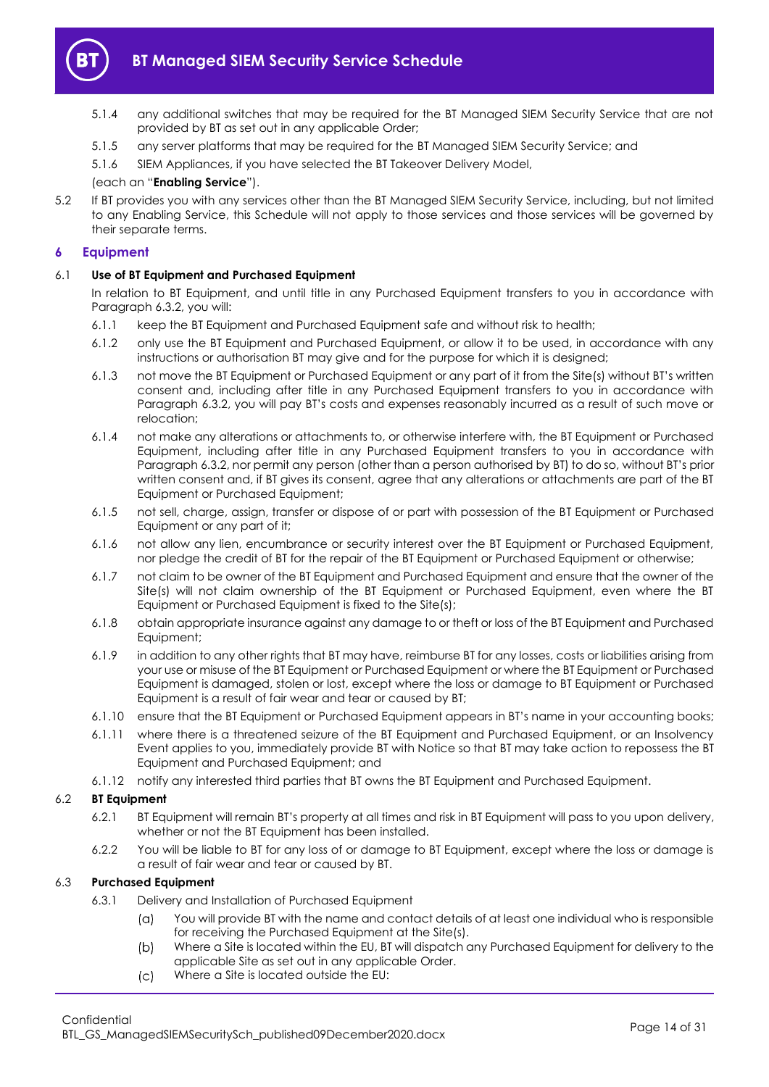

- 5.1.4 any additional switches that may be required for the BT Managed SIEM Security Service that are not provided by BT as set out in any applicable Order;
- 5.1.5 any server platforms that may be required for the BT Managed SIEM Security Service; and
- 5.1.6 SIEM Appliances, if you have selected the BT Takeover Delivery Model,

### (each an "**Enabling Service**").

5.2 If BT provides you with any services other than the BT Managed SIEM Security Service, including, but not limited to any Enabling Service, this Schedule will not apply to those services and those services will be governed by their separate terms.

### <span id="page-13-0"></span>**6 Equipment**

### 6.1 **Use of BT Equipment and Purchased Equipment**

In relation to BT Equipment, and until title in any Purchased Equipment transfers to you in accordance with Paragraph [6.3.2,](#page-14-0) you will:

- 6.1.1 keep the BT Equipment and Purchased Equipment safe and without risk to health;
- 6.1.2 only use the BT Equipment and Purchased Equipment, or allow it to be used, in accordance with any instructions or authorisation BT may give and for the purpose for which it is designed;
- 6.1.3 not move the BT Equipment or Purchased Equipment or any part of it from the Site(s) without BT's written consent and, including after title in any Purchased Equipment transfers to you in accordance with Paragraph [6.3.2](#page-14-0), you will pay BT's costs and expenses reasonably incurred as a result of such move or relocation;
- 6.1.4 not make any alterations or attachments to, or otherwise interfere with, the BT Equipment or Purchased Equipment, including after title in any Purchased Equipment transfers to you in accordance with Paragrap[h 6.3.2,](#page-14-0) nor permit any person (other than a person authorised by BT) to do so, without BT's prior written consent and, if BT gives its consent, agree that any alterations or attachments are part of the BT Equipment or Purchased Equipment;
- 6.1.5 not sell, charge, assign, transfer or dispose of or part with possession of the BT Equipment or Purchased Equipment or any part of it;
- 6.1.6 not allow any lien, encumbrance or security interest over the BT Equipment or Purchased Equipment, nor pledge the credit of BT for the repair of the BT Equipment or Purchased Equipment or otherwise;
- 6.1.7 not claim to be owner of the BT Equipment and Purchased Equipment and ensure that the owner of the Site(s) will not claim ownership of the BT Equipment or Purchased Equipment, even where the BT Equipment or Purchased Equipment is fixed to the Site(s);
- 6.1.8 obtain appropriate insurance against any damage to or theft or loss of the BT Equipment and Purchased Equipment;
- 6.1.9 in addition to any other rights that BT may have, reimburse BT for any losses, costs or liabilities arising from your use or misuse of the BT Equipment or Purchased Equipment or where the BT Equipment or Purchased Equipment is damaged, stolen or lost, except where the loss or damage to BT Equipment or Purchased Equipment is a result of fair wear and tear or caused by BT;
- 6.1.10 ensure that the BT Equipment or Purchased Equipment appears in BT's name in your accounting books;
- 6.1.11 where there is a threatened seizure of the BT Equipment and Purchased Equipment, or an Insolvency Event applies to you, immediately provide BT with Notice so that BT may take action to repossess the BT Equipment and Purchased Equipment; and
- 6.1.12 notify any interested third parties that BT owns the BT Equipment and Purchased Equipment.

### 6.2 **BT Equipment**

- 6.2.1 BT Equipment will remain BT's property at all times and risk in BT Equipment will pass to you upon delivery, whether or not the BT Equipment has been installed.
- 6.2.2 You will be liable to BT for any loss of or damage to BT Equipment, except where the loss or damage is a result of fair wear and tear or caused by BT.

### 6.3 **Purchased Equipment**

- <span id="page-13-1"></span>6.3.1 Delivery and Installation of Purchased Equipment
	- You will provide BT with the name and contact details of at least one individual who is responsible  $(a)$ for receiving the Purchased Equipment at the Site(s).
	- $(b)$ Where a Site is located within the EU, BT will dispatch any Purchased Equipment for delivery to the applicable Site as set out in any applicable Order.
	- $(c)$ Where a Site is located outside the EU: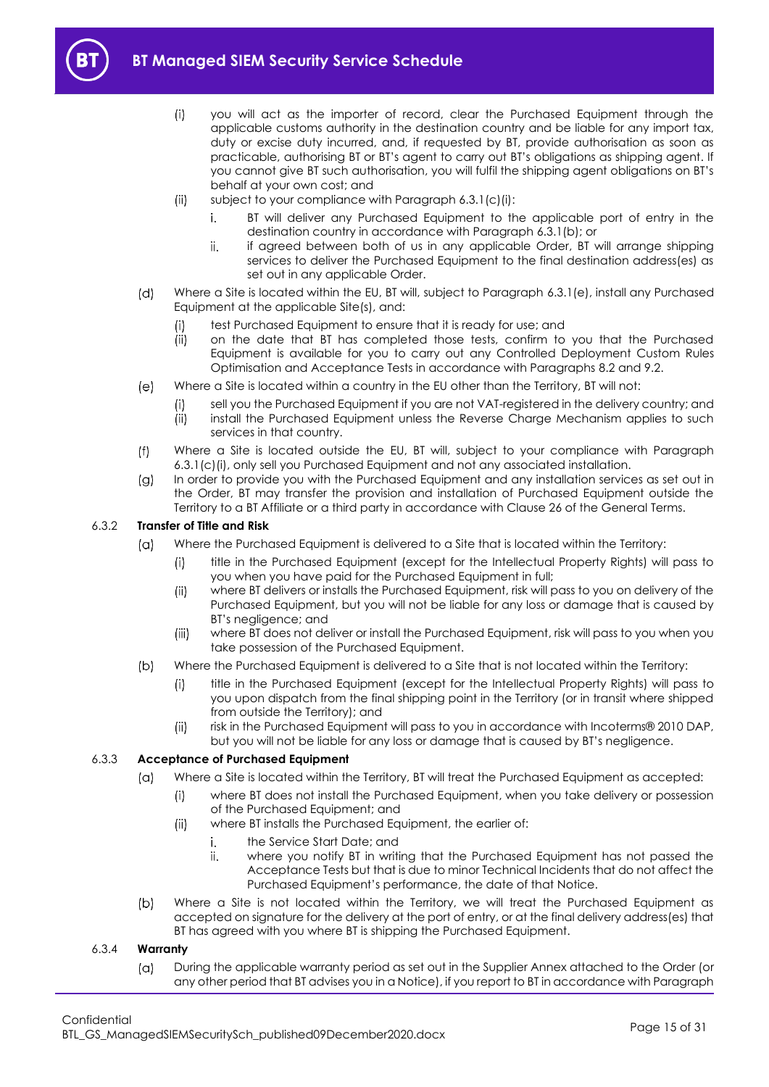<span id="page-14-1"></span>

- $(i)$ you will act as the importer of record, clear the Purchased Equipment through the applicable customs authority in the destination country and be liable for any import tax, duty or excise duty incurred, and, if requested by BT, provide authorisation as soon as practicable, authorising BT or BT's agent to carry out BT's obligations as shipping agent. If you cannot give BT such authorisation, you will fulfil the shipping agent obligations on BT's behalf at your own cost; and
- $(ii)$ subject to your compliance with Paragraph [6.3.1\(c\)\(i\):](#page-14-1)
	- BT will deliver any Purchased Equipment to the applicable port of entry in the i. destination country in accordance with Paragrap[h 6.3.1\(b\);](#page-13-1) or
	- ii. if agreed between both of us in any applicable Order, BT will arrange shipping services to deliver the Purchased Equipment to the final destination address(es) as set out in any applicable Order.
- Where a Site is located within the EU, BT will, subject to Paragraph [6.3.1\(e\),](#page-14-2) install any Purchased  $(d)$ Equipment at the applicable Site(s), and:
	- $(i)$ test Purchased Equipment to ensure that it is ready for use; and
	- $(i)$ on the date that BT has completed those tests, confirm to you that the Purchased Equipment is available for you to carry out any Controlled Deployment Custom Rules Optimisation and Acceptance Tests in accordance with Paragraphs [8.2](#page-19-2) and [9.2.](#page-22-0)
- <span id="page-14-2"></span> $(e)$ Where a Site is located within a country in the EU other than the Territory, BT will not:
	- sell you the Purchased Equipment if you are not VAT-registered in the delivery country; and  $(i)$
	- $(ii)$ install the Purchased Equipment unless the Reverse Charge Mechanism applies to such services in that country.
- $(f)$ Where a Site is located outside the EU, BT will, subject to your compliance with Paragraph [6.3.1\(c\)\(i\),](#page-14-1) only sell you Purchased Equipment and not any associated installation.
- In order to provide you with the Purchased Equipment and any installation services as set out in  $(g)$ the Order, BT may transfer the provision and installation of Purchased Equipment outside the Territory to a BT Affiliate or a third party in accordance with Clause 26 of the General Terms.

### <span id="page-14-0"></span>6.3.2 **Transfer of Title and Risk**

- Where the Purchased Equipment is delivered to a Site that is located within the Territory:  $(a)$ 
	- title in the Purchased Equipment (except for the Intellectual Property Rights) will pass to  $(i)$ you when you have paid for the Purchased Equipment in full;
	- where BT delivers or installs the Purchased Equipment, risk will pass to you on delivery of the  $(ii)$ Purchased Equipment, but you will not be liable for any loss or damage that is caused by BT's negligence; and
	- $(iii)$ where BT does not deliver or install the Purchased Equipment, risk will pass to you when you take possession of the Purchased Equipment.
- $(b)$ Where the Purchased Equipment is delivered to a Site that is not located within the Territory:
	- title in the Purchased Equipment (except for the Intellectual Property Rights) will pass to  $(i)$ you upon dispatch from the final shipping point in the Territory (or in transit where shipped from outside the Territory); and
	- $(ii)$ risk in the Purchased Equipment will pass to you in accordance with Incoterms® 2010 DAP, but you will not be liable for any loss or damage that is caused by BT's negligence.

### 6.3.3 **Acceptance of Purchased Equipment**

- $(a)$ Where a Site is located within the Territory, BT will treat the Purchased Equipment as accepted:
	- $(i)$ where BT does not install the Purchased Equipment, when you take delivery or possession of the Purchased Equipment; and
	- $(ii)$ where BT installs the Purchased Equipment, the earlier of:
		- the Service Start Date; and i.
		- ii. where you notify BT in writing that the Purchased Equipment has not passed the Acceptance Tests but that is due to minor Technical Incidents that do not affect the Purchased Equipment's performance, the date of that Notice.
- $(b)$ Where a Site is not located within the Territory, we will treat the Purchased Equipment as accepted on signature for the delivery at the port of entry, or at the final delivery address(es) that BT has agreed with you where BT is shipping the Purchased Equipment.

### <span id="page-14-3"></span>6.3.4 **Warranty**

During the applicable warranty period as set out in the Supplier Annex attached to the Order (or  $(a)$ any other period that BT advises you in a Notice), if you report to BT in accordance with Paragraph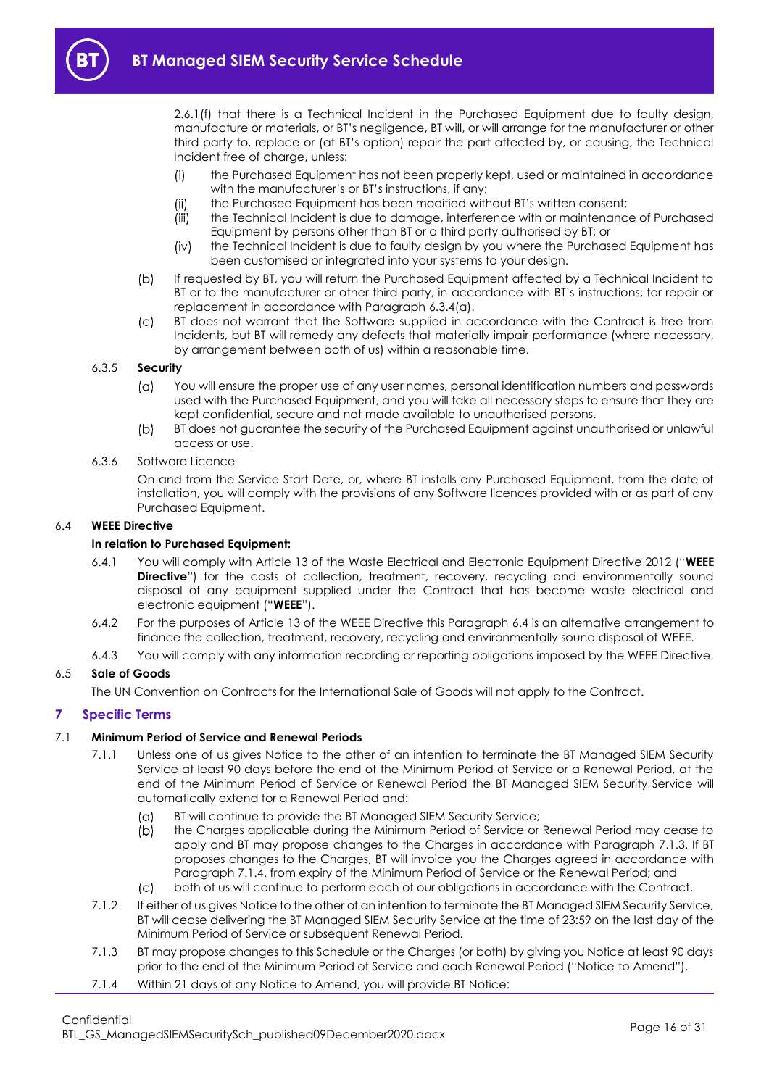[2.6.1\(f\)](#page-6-2) that there is a Technical Incident in the Purchased Equipment due to faulty design, manufacture or materials, or BT's negligence, BT will, or will arrange for the manufacturer or other third party to, replace or (at BT's option) repair the part affected by, or causing, the Technical Incident free of charge, unless:

- $(i)$ the Purchased Equipment has not been properly kept, used or maintained in accordance with the manufacturer's or BT's instructions, if any;
- the Purchased Equipment has been modified without BT's written consent;  $(ii)$
- (iii) the Technical Incident is due to damage, interference with or maintenance of Purchased Equipment by persons other than BT or a third party authorised by BT; or
- $(iv)$ the Technical Incident is due to faulty design by you where the Purchased Equipment has been customised or integrated into your systems to your design.
- If requested by BT, you will return the Purchased Equipment affected by a Technical Incident to  $(b)$ BT or to the manufacturer or other third party, in accordance with BT's instructions, for repair or replacement in accordance with Paragraph [6.3.4\(a\).](#page-14-3)
- $(c)$ BT does not warrant that the Software supplied in accordance with the Contract is free from Incidents, but BT will remedy any defects that materially impair performance (where necessary, by arrangement between both of us) within a reasonable time.

### 6.3.5 **Security**

- $(a)$ You will ensure the proper use of any user names, personal identification numbers and passwords used with the Purchased Equipment, and you will take all necessary steps to ensure that they are kept confidential, secure and not made available to unauthorised persons.
- $(b)$ BT does not guarantee the security of the Purchased Equipment against unauthorised or unlawful access or use.
- 6.3.6 Software Licence

On and from the Service Start Date, or, where BT installs any Purchased Equipment, from the date of installation, you will comply with the provisions of any Software licences provided with or as part of any Purchased Equipment.

### <span id="page-15-4"></span><span id="page-15-1"></span>6.4 **WEEE Directive**

### **In relation to Purchased Equipment:**

- 6.4.1 You will comply with Article 13 of the Waste Electrical and Electronic Equipment Directive 2012 ("**WEEE Directive**") for the costs of collection, treatment, recovery, recycling and environmentally sound disposal of any equipment supplied under the Contract that has become waste electrical and electronic equipment ("**WEEE**").
- 6.4.2 For the purposes of Article 13 of the WEEE Directive this Paragraph [6.4](#page-15-1) is an alternative arrangement to finance the collection, treatment, recovery, recycling and environmentally sound disposal of WEEE.
- 6.4.3 You will comply with any information recording or reporting obligations imposed by the WEEE Directive.

### 6.5 **Sale of Goods**

The UN Convention on Contracts for the International Sale of Goods will not apply to the Contract.

### <span id="page-15-0"></span>**7 Specific Terms**

### 7.1 **Minimum Period of Service and Renewal Periods**

- 7.1.1 Unless one of us gives Notice to the other of an intention to terminate the BT Managed SIEM Security Service at least 90 days before the end of the Minimum Period of Service or a Renewal Period, at the end of the Minimum Period of Service or Renewal Period the BT Managed SIEM Security Service will automatically extend for a Renewal Period and:
	- BT will continue to provide the BT Managed SIEM Security Service;  $(a)$
	- $(b)$ the Charges applicable during the Minimum Period of Service or Renewal Period may cease to apply and BT may propose changes to the Charges in accordance with Paragraph [7.1.3.](#page-15-2) If BT proposes changes to the Charges, BT will invoice you the Charges agreed in accordance with Paragraph [7.1.4.](#page-15-3) from expiry of the Minimum Period of Service or the Renewal Period; and
	- $(c)$ both of us will continue to perform each of our obligations in accordance with the Contract.
- 7.1.2 If either of us gives Notice to the other of an intention to terminate the BT Managed SIEM Security Service, BT will cease delivering the BT Managed SIEM Security Service at the time of 23:59 on the last day of the Minimum Period of Service or subsequent Renewal Period.
- <span id="page-15-2"></span>7.1.3 BT may propose changes to this Schedule or the Charges (or both) by giving you Notice at least 90 days prior to the end of the Minimum Period of Service and each Renewal Period ("Notice to Amend").
- <span id="page-15-3"></span>7.1.4 Within 21 days of any Notice to Amend, you will provide BT Notice: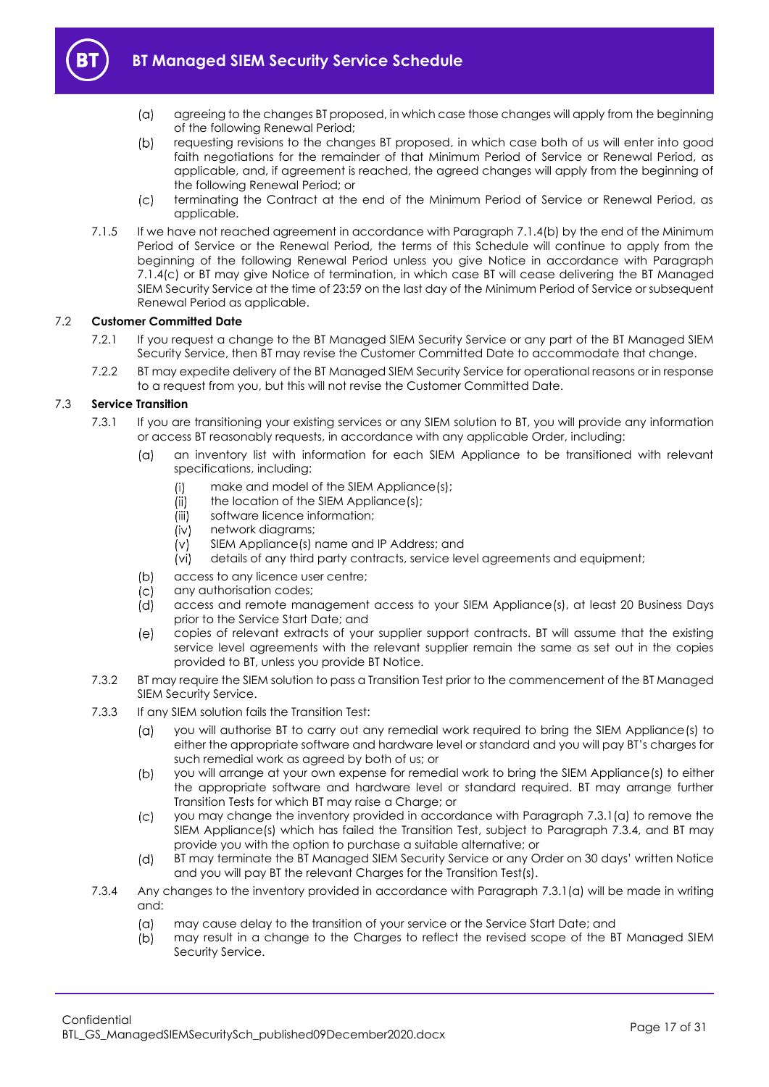

- 
- $(a)$ agreeing to the changes BT proposed, in which case those changes will apply from the beginning of the following Renewal Period;
- <span id="page-16-1"></span> $(b)$ requesting revisions to the changes BT proposed, in which case both of us will enter into good faith negotiations for the remainder of that Minimum Period of Service or Renewal Period, as applicable, and, if agreement is reached, the agreed changes will apply from the beginning of the following Renewal Period; or
- $(c)$ terminating the Contract at the end of the Minimum Period of Service or Renewal Period, as applicable.
- <span id="page-16-2"></span>7.1.5 If we have not reached agreement in accordance with Paragraph [7.1.4\(b\)](#page-16-1) by the end of the Minimum Period of Service or the Renewal Period, the terms of this Schedule will continue to apply from the beginning of the following Renewal Period unless you give Notice in accordance with Paragraph [7.1.4\(c\)](#page-16-2) or BT may give Notice of termination, in which case BT will cease delivering the BT Managed SIEM Security Service at the time of 23:59 on the last day of the Minimum Period of Service or subsequent Renewal Period as applicable.

### 7.2 **Customer Committed Date**

- 7.2.1 If you request a change to the BT Managed SIEM Security Service or any part of the BT Managed SIEM Security Service, then BT may revise the Customer Committed Date to accommodate that change.
- 7.2.2 BT may expedite delivery of the BT Managed SIEM Security Service for operational reasons or in response to a request from you, but this will not revise the Customer Committed Date.

### <span id="page-16-7"></span><span id="page-16-3"></span><span id="page-16-0"></span>7.3 **Service Transition**

- 7.3.1 If you are transitioning your existing services or any SIEM solution to BT, you will provide any information or access BT reasonably requests, in accordance with any applicable Order, including:
	- $(a)$ an inventory list with information for each SIEM Appliance to be transitioned with relevant specifications, including:
		- make and model of the SIEM Appliance(s);  $(i)$
		- the location of the SIEM Appliance(s);  $(ii)$
		- $(iii)$ software licence information;
		- $(iv)$ network diagrams;
		- SIEM Appliance(s) name and IP Address; and  $(v)$
		- (vi) details of any third party contracts, service level agreements and equipment;
	- $(b)$ access to any licence user centre;
	- $(c)$ any authorisation codes;
	- ÌdÌ access and remote management access to your SIEM Appliance(s), at least 20 Business Days prior to the Service Start Date; and
	- $(e)$ copies of relevant extracts of your supplier support contracts. BT will assume that the existing service level agreements with the relevant supplier remain the same as set out in the copies provided to BT, unless you provide BT Notice.
- 7.3.2 BT may require the SIEM solution to pass a Transition Test prior to the commencement of the BT Managed SIEM Security Service.
- <span id="page-16-6"></span><span id="page-16-5"></span>7.3.3 If any SIEM solution fails the Transition Test:
	- $(\alpha)$ you will authorise BT to carry out any remedial work required to bring the SIEM Appliance(s) to either the appropriate software and hardware level or standard and you will pay BT's charges for such remedial work as agreed by both of us; or
	- $(b)$ you will arrange at your own expense for remedial work to bring the SIEM Appliance (s) to either the appropriate software and hardware level or standard required. BT may arrange further Transition Tests for which BT may raise a Charge; or
	- $(c)$ you may change the inventory provided in accordance with Paragraph [7.3.1\(a\)](#page-16-3) to remove the SIEM Appliance(s) which has failed the Transition Test, subject to Paragraph [7.3.4,](#page-16-4) and BT may provide you with the option to purchase a suitable alternative; or
	- $(d)$ BT may terminate the BT Managed SIEM Security Service or any Order on 30 days' written Notice and you will pay BT the relevant Charges for the Transition Test(s).
- <span id="page-16-4"></span>7.3.4 Any changes to the inventory provided in accordance with Paragraph [7.3.1\(a\)](#page-16-3) will be made in writing and:
	- $(a)$ may cause delay to the transition of your service or the Service Start Date; and
	- $(b)$ may result in a change to the Charges to reflect the revised scope of the BT Managed SIEM Security Service.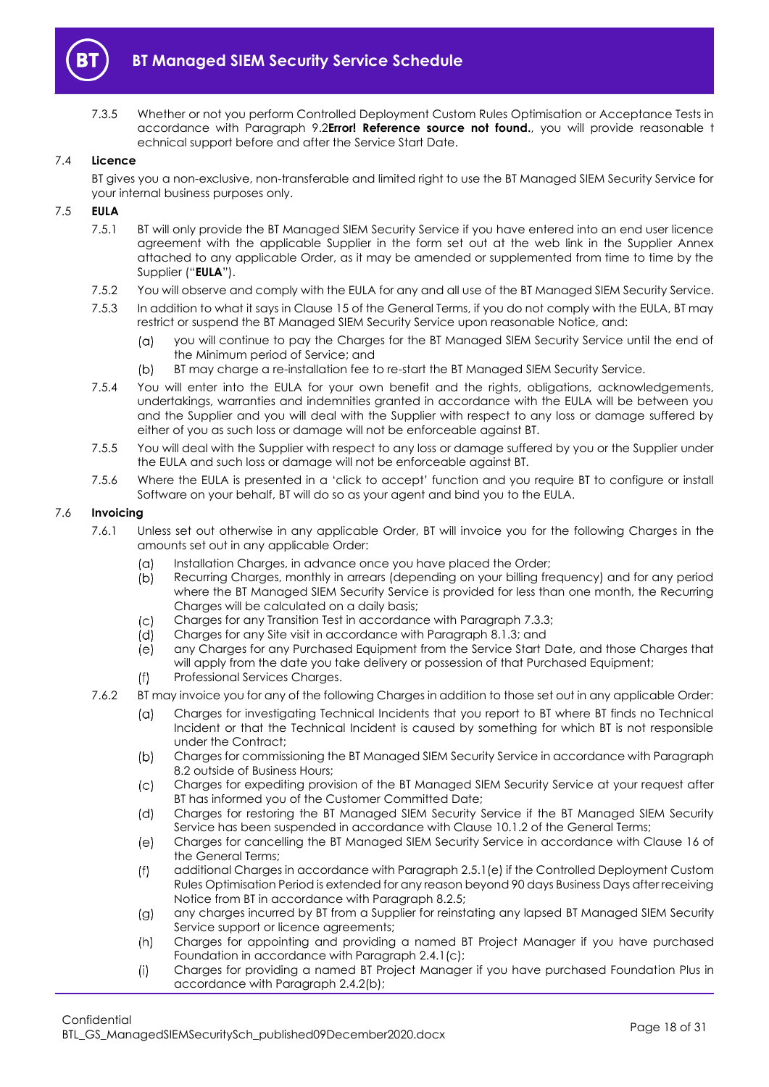

7.3.5 Whether or not you perform Controlled Deployment Custom Rules Optimisation or Acceptance Tests in accordance with Paragraph [9.2](#page-22-0)**Error! Reference source not found.**, you will provide reasonable t echnical support before and after the Service Start Date.

### 7.4 **Licence**

BT gives you a non-exclusive, non-transferable and limited right to use the BT Managed SIEM Security Service for your internal business purposes only.

### <span id="page-17-0"></span>7.5 **EULA**

- 7.5.1 BT will only provide the BT Managed SIEM Security Service if you have entered into an end user licence agreement with the applicable Supplier in the form set out at the web link in the Supplier Annex attached to any applicable Order, as it may be amended or supplemented from time to time by the Supplier ("**EULA**").
- 7.5.2 You will observe and comply with the EULA for any and all use of the BT Managed SIEM Security Service.
- 7.5.3 In addition to what it says in Clause 15 of the General Terms, if you do not comply with the EULA, BT may restrict or suspend the BT Managed SIEM Security Service upon reasonable Notice, and:
	- you will continue to pay the Charges for the BT Managed SIEM Security Service until the end of  $(\alpha)$ the Minimum period of Service; and
	- $(b)$ BT may charge a re-installation fee to re-start the BT Managed SIEM Security Service.
- 7.5.4 You will enter into the EULA for your own benefit and the rights, obligations, acknowledgements, undertakings, warranties and indemnities granted in accordance with the EULA will be between you and the Supplier and you will deal with the Supplier with respect to any loss or damage suffered by either of you as such loss or damage will not be enforceable against BT.
- 7.5.5 You will deal with the Supplier with respect to any loss or damage suffered by you or the Supplier under the EULA and such loss or damage will not be enforceable against BT.
- 7.5.6 Where the EULA is presented in a 'click to accept' function and you require BT to configure or install Software on your behalf, BT will do so as your agent and bind you to the EULA.

### 7.6 **Invoicing**

- 7.6.1 Unless set out otherwise in any applicable Order, BT will invoice you for the following Charges in the amounts set out in any applicable Order:
	- Installation Charges, in advance once you have placed the Order;  $(\alpha)$
	- ibi Recurring Charges, monthly in arrears (depending on your billing frequency) and for any period where the BT Managed SIEM Security Service is provided for less than one month, the Recurring Charges will be calculated on a daily basis;
	- Charges for any Transition Test in accordance with Paragraph [7.3.3;](#page-16-5)  $(c)$
	- (di Charges for any Site visit in accordance with Paragraph [8.1.3;](#page-19-4) and
	- $(e)$ any Charges for any Purchased Equipment from the Service Start Date, and those Charges that will apply from the date you take delivery or possession of that Purchased Equipment;
	- $(f)$ Professional Services Charges.
- 7.6.2 BT may invoice you for any of the following Charges in addition to those set out in any applicable Order:
	- $(\alpha)$ Charges for investigating Technical Incidents that you report to BT where BT finds no Technical Incident or that the Technical Incident is caused by something for which BT is not responsible under the Contract;
	- $(b)$ Charges for commissioning the BT Managed SIEM Security Service in accordance with Paragraph [8.2](#page-19-2) outside of Business Hours;
	- $|C|$ Charges for expediting provision of the BT Managed SIEM Security Service at your request after BT has informed you of the Customer Committed Date;
	- $(d)$ Charges for restoring the BT Managed SIEM Security Service if the BT Managed SIEM Security Service has been suspended in accordance with Clause 10.1.2 of the General Terms;
	- Charges for cancelling the BT Managed SIEM Security Service in accordance with Clause 16 of  $(e)$ the General Terms;
	- $(f)$ additional Charges in accordance with Paragraph [2.5.1\(e\)](#page-4-1) if the Controlled Deployment Custom Rules Optimisation Period is extended for any reason beyond 90 days Business Days after receiving Notice from BT in accordance with Paragraph [8.2.5;](#page-19-3)
	- any charges incurred by BT from a Supplier for reinstating any lapsed BT Managed SIEM Security  $(g)$ Service support or licence agreements;
	- $(h)$ Charges for appointing and providing a named BT Project Manager if you have purchased Foundation in accordance with Paragraph [2.4.1\(c\);](#page-3-4)
	- $(i)$ Charges for providing a named BT Project Manager if you have purchased Foundation Plus in accordance with Paragrap[h 2.4.2\(b\);](#page-4-2)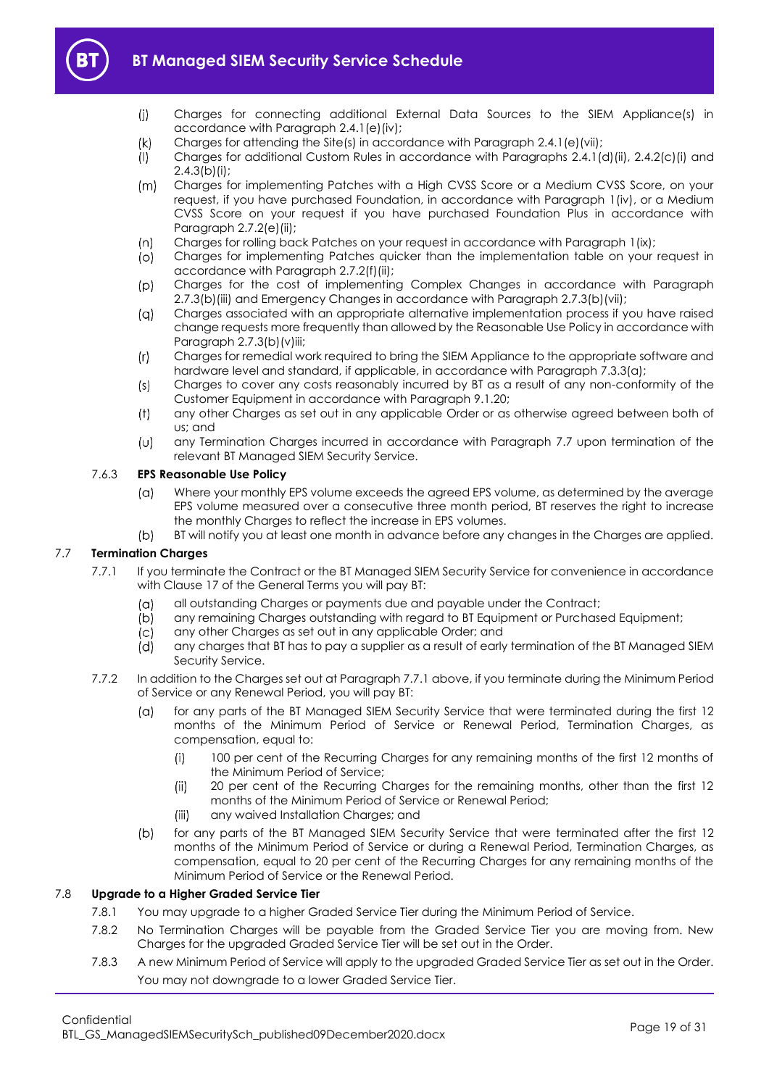

- $(i)$ Charges for connecting additional External Data Sources to the SIEM Appliance(s) in accordance with Paragrap[h 2.4.1\(e\)\(iv\);](#page-4-3)
- $(k)$ Charges for attending the Site(s) in accordance with Paragraph [2.4.1\(e\)\(vii\);](#page-4-4)
- $($ l $)$ Charges for additional Custom Rules in accordance with Paragraphs [2.4.1\(d\)\(ii\),](#page-3-5) [2.4.2\(c\)\(i\)](#page-4-5) and  $2.4.3(b)(i)$ ;
- $(m)$ Charges for implementing Patches with a High CVSS Score or a Medium CVSS Score, on your request, if you have purchased Foundation, in accordance with Paragraph [1\(iv\),](#page-10-2) or a Medium CVSS Score on your request if you have purchased Foundation Plus in accordance with Paragraph [2.7.2\(e\)\(ii\);](#page-10-3)
- $(n)$ Charges for rolling back Patches on your request in accordance with Paragraph [1\(ix\);](#page-10-4)
- $\circ$ Charges for implementing Patches quicker than the implementation table on your request in accordance with Paragrap[h 2.7.2\(f\)\(ii\);](#page-11-4)
- $(p)$ Charges for the cost of implementing Complex Changes in accordance with Paragraph [2.7.3\(b\)\(iii\)](#page-11-5) and Emergency Changes in accordance with Paragraph [2.7.3\(b\)\(vii\);](#page-11-6)
- Charges associated with an appropriate alternative implementation process if you have raised  $(a)$ change requests more frequently than allowed by the Reasonable Use Policy in accordance with Paragraph [2.7.3\(b\)\(v\)iii;](#page-11-7)
- $(r)$ Charges for remedial work required to bring the SIEM Appliance to the appropriate software and hardware level and standard, if applicable, in accordance with Paragraph [7.3.3\(a\);](#page-16-6)
- $(s)$ Charges to cover any costs reasonably incurred by BT as a result of any non-conformity of the Customer Equipment in accordance with Paragraph [9.1.20;](#page-21-0)
- any other Charges as set out in any applicable Order or as otherwise agreed between both of  $(t)$ us; and
- any Termination Charges incurred in accordance with Paragraph [7.7](#page-18-0) upon termination of the  $(\cup)$ relevant BT Managed SIEM Security Service.

### 7.6.3 **EPS Reasonable Use Policy**

- Where your monthly EPS volume exceeds the agreed EPS volume, as determined by the average  $(\alpha)$ EPS volume measured over a consecutive three month period, BT reserves the right to increase the monthly Charges to reflect the increase in EPS volumes.
- $(b)$ BT will notify you at least one month in advance before any changes in the Charges are applied.

### <span id="page-18-1"></span><span id="page-18-0"></span>7.7 **Termination Charges**

- 7.7.1 If you terminate the Contract or the BT Managed SIEM Security Service for convenience in accordance with Clause 17 of the General Terms you will pay BT:
	- all outstanding Charges or payments due and payable under the Contract;  $(\alpha)$
	- $(b)$ any remaining Charges outstanding with regard to BT Equipment or Purchased Equipment;
	- $(c)$ any other Charges as set out in any applicable Order; and
	- (d) any charges that BT has to pay a supplier as a result of early termination of the BT Managed SIEM Security Service.
- 7.7.2 In addition to the Charges set out at Paragrap[h 7.7.1](#page-18-1) above, if you terminate during the Minimum Period of Service or any Renewal Period, you will pay BT:
	- $(a)$ for any parts of the BT Managed SIEM Security Service that were terminated during the first 12 months of the Minimum Period of Service or Renewal Period, Termination Charges, as compensation, equal to:
		- $(i)$ 100 per cent of the Recurring Charges for any remaining months of the first 12 months of the Minimum Period of Service;
		- $(ii)$ 20 per cent of the Recurring Charges for the remaining months, other than the first 12 months of the Minimum Period of Service or Renewal Period;
		- $(iii)$ any waived Installation Charges; and
	- $(b)$ for any parts of the BT Managed SIEM Security Service that were terminated after the first 12 months of the Minimum Period of Service or during a Renewal Period, Termination Charges, as compensation, equal to 20 per cent of the Recurring Charges for any remaining months of the Minimum Period of Service or the Renewal Period.

### 7.8 **Upgrade to a Higher Graded Service Tier**

- 7.8.1 You may upgrade to a higher Graded Service Tier during the Minimum Period of Service.
- 7.8.2 No Termination Charges will be payable from the Graded Service Tier you are moving from. New Charges for the upgraded Graded Service Tier will be set out in the Order.
- 7.8.3 A new Minimum Period of Service will apply to the upgraded Graded Service Tier as set out in the Order. You may not downgrade to a lower Graded Service Tier.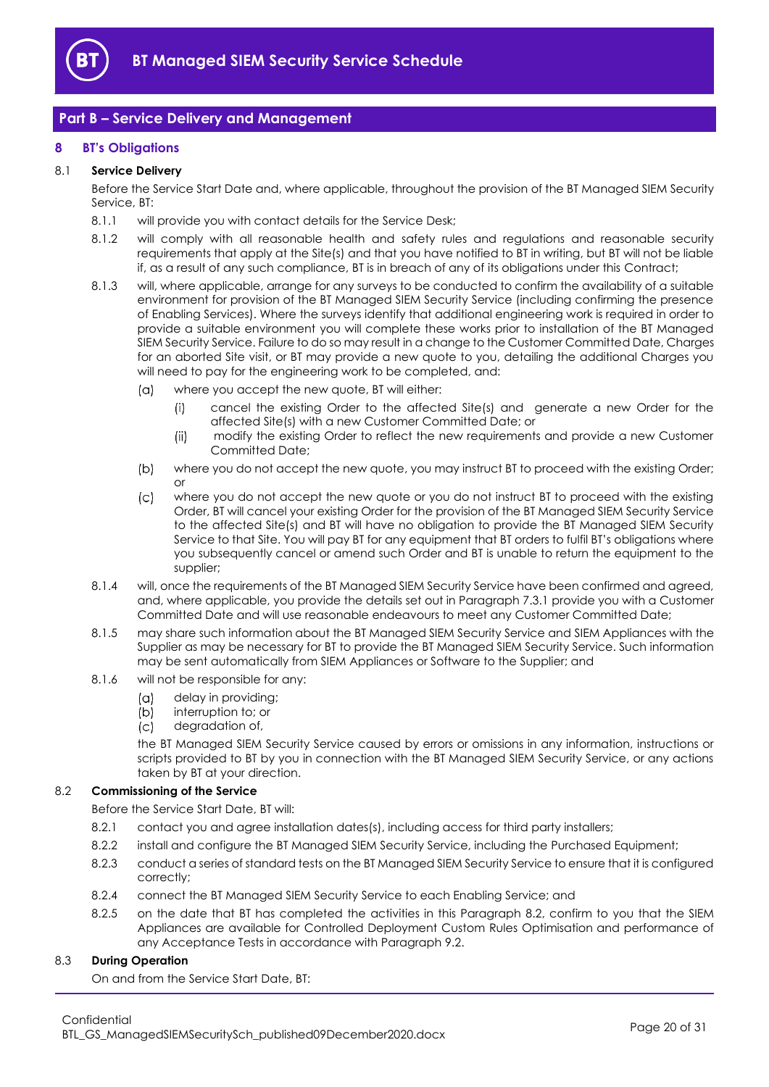

### <span id="page-19-0"></span>**Part B – Service Delivery and Management**

### <span id="page-19-1"></span>**8 BT's Obligations**

### 8.1 **Service Delivery**

Before the Service Start Date and, where applicable, throughout the provision of the BT Managed SIEM Security Service, BT:

- 8.1.1 will provide you with contact details for the Service Desk;
- 8.1.2 will comply with all reasonable health and safety rules and regulations and reasonable security requirements that apply at the Site(s) and that you have notified to BT in writing, but BT will not be liable if, as a result of any such compliance, BT is in breach of any of its obligations under this Contract;
- <span id="page-19-4"></span>8.1.3 will, where applicable, arrange for any surveys to be conducted to confirm the availability of a suitable environment for provision of the BT Managed SIEM Security Service (including confirming the presence of Enabling Services). Where the surveys identify that additional engineering work is required in order to provide a suitable environment you will complete these works prior to installation of the BT Managed SIEM Security Service. Failure to do so may result in a change to the Customer Committed Date, Charges for an aborted Site visit, or BT may provide a new quote to you, detailing the additional Charges you will need to pay for the engineering work to be completed, and:
	- where you accept the new quote, BT will either:  $(\alpha)$ 
		- cancel the existing Order to the affected Site(s) and generate a new Order for the  $(i)$ affected Site(s) with a new Customer Committed Date; or
		- modify the existing Order to reflect the new requirements and provide a new Customer  $(ii)$ Committed Date;
	- $(b)$ where you do not accept the new quote, you may instruct BT to proceed with the existing Order; or
	- $\mathcal{L}$ where you do not accept the new quote or you do not instruct BT to proceed with the existing Order, BT will cancel your existing Order for the provision of the BT Managed SIEM Security Service to the affected Site(s) and BT will have no obligation to provide the BT Managed SIEM Security Service to that Site. You will pay BT for any equipment that BT orders to fulfil BT's obligations where you subsequently cancel or amend such Order and BT is unable to return the equipment to the supplier;
- 8.1.4 will, once the requirements of the BT Managed SIEM Security Service have been confirmed and agreed, and, where applicable, you provide the details set out in Paragrap[h 7.3.1](#page-16-7) provide you with a Customer Committed Date and will use reasonable endeavours to meet any Customer Committed Date;
- 8.1.5 may share such information about the BT Managed SIEM Security Service and SIEM Appliances with the Supplier as may be necessary for BT to provide the BT Managed SIEM Security Service. Such information may be sent automatically from SIEM Appliances or Software to the Supplier; and
- 8.1.6 will not be responsible for any:
	- $(a)$ delay in providing;
	- $(b)$ interruption to; or
	- degradation of,  $(c)$

the BT Managed SIEM Security Service caused by errors or omissions in any information, instructions or scripts provided to BT by you in connection with the BT Managed SIEM Security Service, or any actions taken by BT at your direction.

### <span id="page-19-2"></span>8.2 **Commissioning of the Service**

Before the Service Start Date, BT will:

- 8.2.1 contact you and agree installation dates(s), including access for third party installers;
- 8.2.2 install and configure the BT Managed SIEM Security Service, including the Purchased Equipment;
- 8.2.3 conduct a series of standard tests on the BT Managed SIEM Security Service to ensure that it is configured correctly;
- 8.2.4 connect the BT Managed SIEM Security Service to each Enabling Service; and
- <span id="page-19-3"></span>8.2.5 on the date that BT has completed the activities in this Paragraph [8.2,](#page-19-2) confirm to you that the SIEM Appliances are available for Controlled Deployment Custom Rules Optimisation and performance of any Acceptance Tests in accordance with Paragraph [9.2.](#page-22-0)

### 8.3 **During Operation**

On and from the Service Start Date, BT: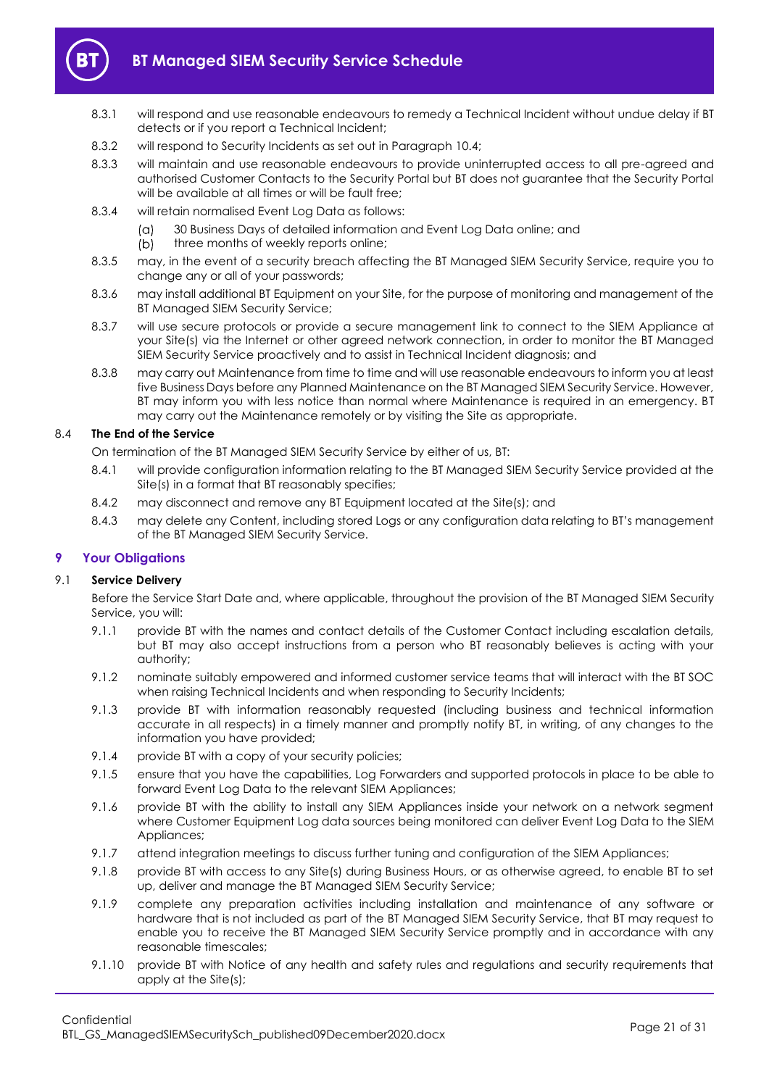

- <span id="page-20-1"></span>8.3.1 will respond and use reasonable endeavours to remedy a Technical Incident without undue delay if BT detects or if you report a Technical Incident;
- 8.3.2 will respond to Security Incidents as set out in Paragrap[h 10.4;](#page-24-3)
- 8.3.3 will maintain and use reasonable endeavours to provide uninterrupted access to all pre-agreed and authorised Customer Contacts to the Security Portal but BT does not guarantee that the Security Portal will be available at all times or will be fault free:
- 8.3.4 will retain normalised Event Log Data as follows:
	- 30 Business Days of detailed information and Event Log Data online; and  $(a)$
	- $(b)$ three months of weekly reports online;
- 8.3.5 may, in the event of a security breach affecting the BT Managed SIEM Security Service, require you to change any or all of your passwords;
- 8.3.6 may install additional BT Equipment on your Site, for the purpose of monitoring and management of the BT Managed SIEM Security Service;
- 8.3.7 will use secure protocols or provide a secure management link to connect to the SIEM Appliance at your Site(s) via the Internet or other agreed network connection, in order to monitor the BT Managed SIEM Security Service proactively and to assist in Technical Incident diagnosis; and
- 8.3.8 may carry out Maintenance from time to time and will use reasonable endeavours to inform you at least five Business Days before any Planned Maintenance on the BT Managed SIEM Security Service. However, BT may inform you with less notice than normal where Maintenance is required in an emergency. BT may carry out the Maintenance remotely or by visiting the Site as appropriate.

### 8.4 **The End of the Service**

On termination of the BT Managed SIEM Security Service by either of us, BT:

- 8.4.1 will provide configuration information relating to the BT Managed SIEM Security Service provided at the Site(s) in a format that BT reasonably specifies;
- 8.4.2 may disconnect and remove any BT Equipment located at the Site(s); and
- 8.4.3 may delete any Content, including stored Logs or any configuration data relating to BT's management of the BT Managed SIEM Security Service.

### <span id="page-20-0"></span>**9 Your Obligations**

### 9.1 **Service Delivery**

Before the Service Start Date and, where applicable, throughout the provision of the BT Managed SIEM Security Service, you will:

- 9.1.1 provide BT with the names and contact details of the Customer Contact including escalation details, but BT may also accept instructions from a person who BT reasonably believes is acting with your authority;
- 9.1.2 nominate suitably empowered and informed customer service teams that will interact with the BT SOC when raising Technical Incidents and when responding to Security Incidents;
- 9.1.3 provide BT with information reasonably requested (including business and technical information accurate in all respects) in a timely manner and promptly notify BT, in writing, of any changes to the information you have provided;
- 9.1.4 provide BT with a copy of your security policies;
- 9.1.5 ensure that you have the capabilities, Log Forwarders and supported protocols in place to be able to forward Event Log Data to the relevant SIEM Appliances;
- 9.1.6 provide BT with the ability to install any SIEM Appliances inside your network on a network segment where Customer Equipment Log data sources being monitored can deliver Event Log Data to the SIEM Appliances;
- 9.1.7 attend integration meetings to discuss further tuning and configuration of the SIEM Appliances;
- 9.1.8 provide BT with access to any Site(s) during Business Hours, or as otherwise agreed, to enable BT to set up, deliver and manage the BT Managed SIEM Security Service;
- 9.1.9 complete any preparation activities including installation and maintenance of any software or hardware that is not included as part of the BT Managed SIEM Security Service, that BT may request to enable you to receive the BT Managed SIEM Security Service promptly and in accordance with any reasonable timescales;
- 9.1.10 provide BT with Notice of any health and safety rules and regulations and security requirements that apply at the Site(s);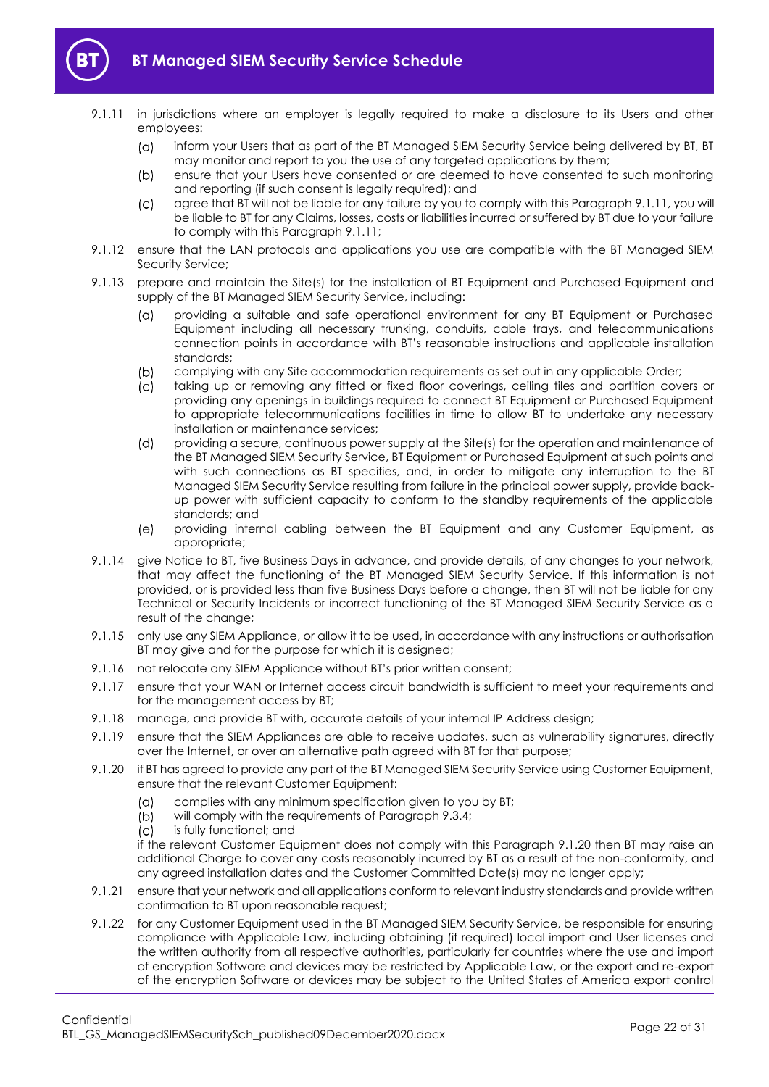

- <span id="page-21-1"></span>
	- 9.1.11 in jurisdictions where an employer is legally required to make a disclosure to its Users and other employees:
		- inform your Users that as part of the BT Managed SIEM Security Service being delivered by BT, BT  $(a)$ may monitor and report to you the use of any targeted applications by them;
		- $(b)$ ensure that your Users have consented or are deemed to have consented to such monitoring and reporting (if such consent is legally required); and
		- agree that BT will not be liable for any failure by you to comply with this Paragrap[h 9.1.11,](#page-21-1) you will  $(c)$ be liable to BT for any Claims, losses, costs or liabilities incurred or suffered by BT due to your failure to comply with this Paragrap[h 9.1.11;](#page-21-1)
	- 9.1.12 ensure that the LAN protocols and applications you use are compatible with the BT Managed SIEM Security Service;
	- 9.1.13 prepare and maintain the Site(s) for the installation of BT Equipment and Purchased Equipment and supply of the BT Managed SIEM Security Service, including:
		- providing a suitable and safe operational environment for any BT Equipment or Purchased  $(a)$ Equipment including all necessary trunking, conduits, cable trays, and telecommunications connection points in accordance with BT's reasonable instructions and applicable installation standards;
		- $(b)$ complying with any Site accommodation requirements as set out in any applicable Order;
		- $\sqrt{C}$ taking up or removing any fitted or fixed floor coverings, ceiling tiles and partition covers or providing any openings in buildings required to connect BT Equipment or Purchased Equipment to appropriate telecommunications facilities in time to allow BT to undertake any necessary installation or maintenance services;
		- $(d)$ providing a secure, continuous power supply at the Site(s) for the operation and maintenance of the BT Managed SIEM Security Service, BT Equipment or Purchased Equipment at such points and with such connections as BT specifies, and, in order to mitigate any interruption to the BT Managed SIEM Security Service resulting from failure in the principal power supply, provide backup power with sufficient capacity to conform to the standby requirements of the applicable standards; and
		- $(e)$ providing internal cabling between the BT Equipment and any Customer Equipment, as appropriate;
	- 9.1.14 give Notice to BT, five Business Days in advance, and provide details, of any changes to your network, that may affect the functioning of the BT Managed SIEM Security Service. If this information is not provided, or is provided less than five Business Days before a change, then BT will not be liable for any Technical or Security Incidents or incorrect functioning of the BT Managed SIEM Security Service as a result of the change;
	- 9.1.15 only use any SIEM Appliance, or allow it to be used, in accordance with any instructions or authorisation BT may give and for the purpose for which it is designed;
	- 9.1.16 not relocate any SIEM Appliance without BT's prior written consent;
	- 9.1.17 ensure that your WAN or Internet access circuit bandwidth is sufficient to meet your requirements and for the management access by BT;
	- 9.1.18 manage, and provide BT with, accurate details of your internal IP Address design;
	- 9.1.19 ensure that the SIEM Appliances are able to receive updates, such as vulnerability signatures, directly over the Internet, or over an alternative path agreed with BT for that purpose;
	- 9.1.20 if BT has agreed to provide any part of the BT Managed SIEM Security Service using Customer Equipment, ensure that the relevant Customer Equipment:
		- $(a)$ complies with any minimum specification given to you by BT;
		- $(b)$ will comply with the requirements of Paragrap[h 9.3.4;](#page-23-0)
		- $\overline{c}$ is fully functional; and

<span id="page-21-0"></span>if the relevant Customer Equipment does not comply with this Paragraph [9.1.20](#page-21-0) then BT may raise an additional Charge to cover any costs reasonably incurred by BT as a result of the non-conformity, and any agreed installation dates and the Customer Committed Date(s) may no longer apply;

- 9.1.21 ensure that your network and all applications conform to relevant industry standards and provide written confirmation to BT upon reasonable request;
- 9.1.22 for any Customer Equipment used in the BT Managed SIEM Security Service, be responsible for ensuring compliance with Applicable Law, including obtaining (if required) local import and User licenses and the written authority from all respective authorities, particularly for countries where the use and import of encryption Software and devices may be restricted by Applicable Law, or the export and re-export of the encryption Software or devices may be subject to the United States of America export control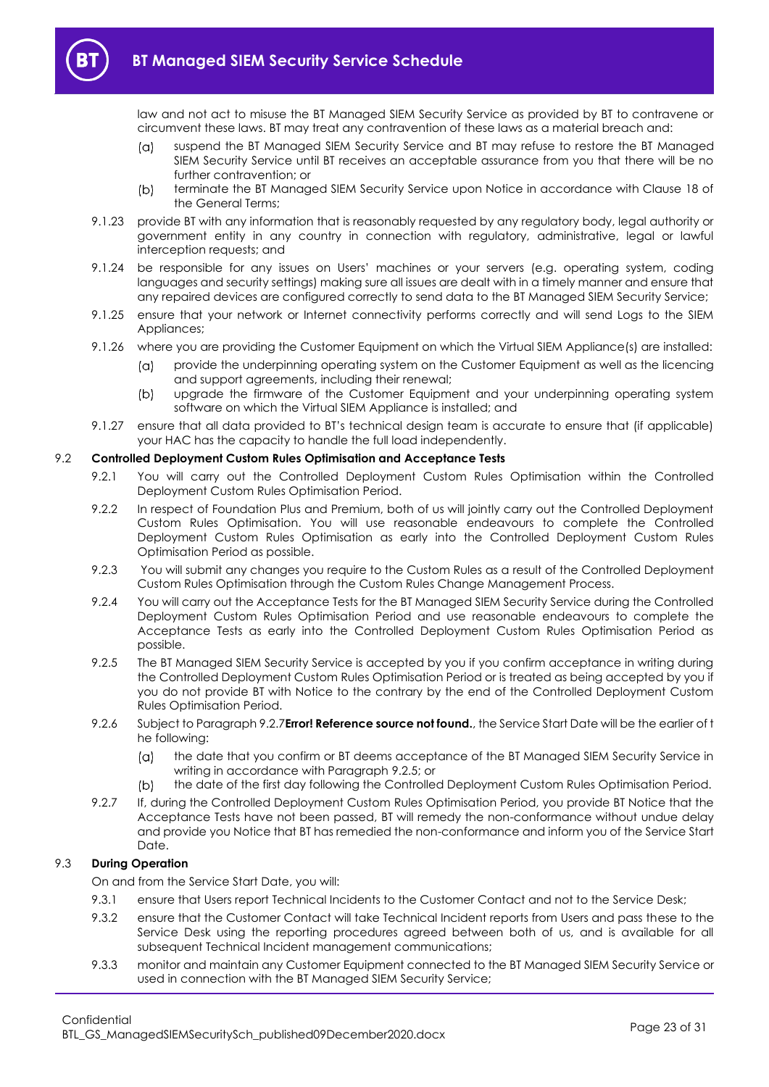

law and not act to misuse the BT Managed SIEM Security Service as provided by BT to contravene or circumvent these laws. BT may treat any contravention of these laws as a material breach and:

- suspend the BT Managed SIEM Security Service and BT may refuse to restore the BT Managed  $(\alpha)$ SIEM Security Service until BT receives an acceptable assurance from you that there will be no further contravention; or
- $(b)$ terminate the BT Managed SIEM Security Service upon Notice in accordance with Clause 18 of the General Terms;
- 9.1.23 provide BT with any information that is reasonably requested by any regulatory body, legal authority or government entity in any country in connection with regulatory, administrative, legal or lawful interception requests; and
- 9.1.24 be responsible for any issues on Users' machines or your servers (e.g. operating system, coding languages and security settings) making sure all issues are dealt with in a timely manner and ensure that any repaired devices are configured correctly to send data to the BT Managed SIEM Security Service;
- 9.1.25 ensure that your network or Internet connectivity performs correctly and will send Logs to the SIEM Appliances;
- 9.1.26 where you are providing the Customer Equipment on which the Virtual SIEM Appliance(s) are installed:
	- $(\alpha)$ provide the underpinning operating system on the Customer Equipment as well as the licencing and support agreements, including their renewal;
	- upgrade the firmware of the Customer Equipment and your underpinning operating system  $(b)$ software on which the Virtual SIEM Appliance is installed; and
- 9.1.27 ensure that all data provided to BT's technical design team is accurate to ensure that (if applicable) your HAC has the capacity to handle the full load independently.

### <span id="page-22-0"></span>9.2 **Controlled Deployment Custom Rules Optimisation and Acceptance Tests**

- 9.2.1 You will carry out the Controlled Deployment Custom Rules Optimisation within the Controlled Deployment Custom Rules Optimisation Period.
- 9.2.2 In respect of Foundation Plus and Premium, both of us will jointly carry out the Controlled Deployment Custom Rules Optimisation. You will use reasonable endeavours to complete the Controlled Deployment Custom Rules Optimisation as early into the Controlled Deployment Custom Rules Optimisation Period as possible.
- 9.2.3 You will submit any changes you require to the Custom Rules as a result of the Controlled Deployment Custom Rules Optimisation through the Custom Rules Change Management Process.
- 9.2.4 You will carry out the Acceptance Tests for the BT Managed SIEM Security Service during the Controlled Deployment Custom Rules Optimisation Period and use reasonable endeavours to complete the Acceptance Tests as early into the Controlled Deployment Custom Rules Optimisation Period as possible.
- <span id="page-22-2"></span>9.2.5 The BT Managed SIEM Security Service is accepted by you if you confirm acceptance in writing during the Controlled Deployment Custom Rules Optimisation Period or is treated as being accepted by you if you do not provide BT with Notice to the contrary by the end of the Controlled Deployment Custom Rules Optimisation Period.
- 9.2.6 Subject to Paragrap[h 9.2.7](#page-22-1)**Error! Reference source not found.**, the Service Start Date will be the earlier of t he following:
	- the date that you confirm or BT deems acceptance of the BT Managed SIEM Security Service in  $(a)$ writing in accordance with Paragraph [9.2.5;](#page-22-2) or
	- the date of the first day following the Controlled Deployment Custom Rules Optimisation Period.  $(b)$
- <span id="page-22-1"></span>9.2.7 If, during the Controlled Deployment Custom Rules Optimisation Period, you provide BT Notice that the Acceptance Tests have not been passed, BT will remedy the non-conformance without undue delay and provide you Notice that BT has remedied the non-conformance and inform you of the Service Start Date.

### 9.3 **During Operation**

On and from the Service Start Date, you will:

- 9.3.1 ensure that Users report Technical Incidents to the Customer Contact and not to the Service Desk:
- 9.3.2 ensure that the Customer Contact will take Technical Incident reports from Users and pass these to the Service Desk using the reporting procedures agreed between both of us, and is available for all subsequent Technical Incident management communications;
- 9.3.3 monitor and maintain any Customer Equipment connected to the BT Managed SIEM Security Service or used in connection with the BT Managed SIEM Security Service;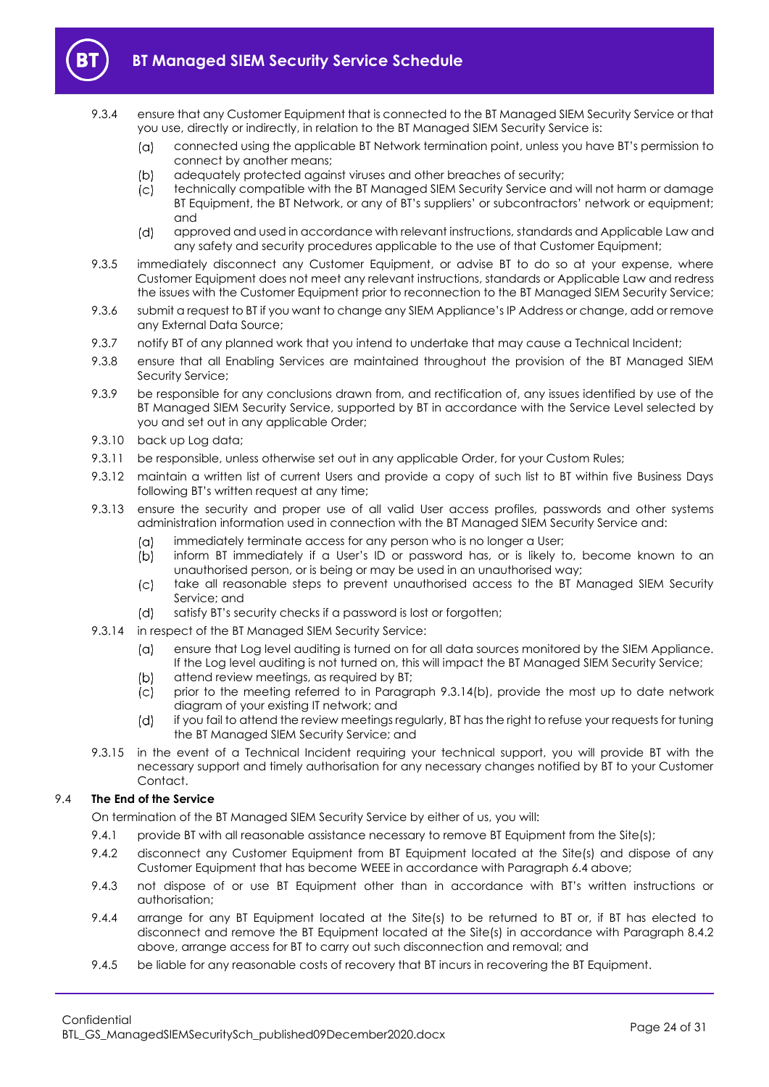

- <span id="page-23-0"></span>9.3.4 ensure that any Customer Equipment that is connected to the BT Managed SIEM Security Service or that you use, directly or indirectly, in relation to the BT Managed SIEM Security Service is:
	- connected using the applicable BT Network termination point, unless you have BT's permission to  $(a)$ connect by another means;
	- $(b)$ adequately protected against viruses and other breaches of security;
	- $(c)$ technically compatible with the BT Managed SIEM Security Service and will not harm or damage BT Equipment, the BT Network, or any of BT's suppliers' or subcontractors' network or equipment; and
	- $(d)$ approved and used in accordance with relevant instructions, standards and Applicable Law and any safety and security procedures applicable to the use of that Customer Equipment;
- 9.3.5 immediately disconnect any Customer Equipment, or advise BT to do so at your expense, where Customer Equipment does not meet any relevant instructions, standards or Applicable Law and redress the issues with the Customer Equipment prior to reconnection to the BT Managed SIEM Security Service;
- 9.3.6 submit a request to BT if you want to change any SIEM Appliance's IP Address or change, add or remove any External Data Source;
- 9.3.7 notify BT of any planned work that you intend to undertake that may cause a Technical Incident;
- 9.3.8 ensure that all Enabling Services are maintained throughout the provision of the BT Managed SIEM Security Service;
- 9.3.9 be responsible for any conclusions drawn from, and rectification of, any issues identified by use of the BT Managed SIEM Security Service, supported by BT in accordance with the Service Level selected by you and set out in any applicable Order;
- 9.3.10 back up Log data;
- 9.3.11 be responsible, unless otherwise set out in any applicable Order, for your Custom Rules;
- 9.3.12 maintain a written list of current Users and provide a copy of such list to BT within five Business Days following BT's written request at any time;
- 9.3.13 ensure the security and proper use of all valid User access profiles, passwords and other systems administration information used in connection with the BT Managed SIEM Security Service and:
	- $(a)$ immediately terminate access for any person who is no longer a User;
	- $(b)$ inform BT immediately if a User's ID or password has, or is likely to, become known to an unauthorised person, or is being or may be used in an unauthorised way;
	- $(c)$ take all reasonable steps to prevent unauthorised access to the BT Managed SIEM Security Service; and
	- $(d)$ satisfy BT's security checks if a password is lost or forgotten;
- <span id="page-23-1"></span>9.3.14 in respect of the BT Managed SIEM Security Service:
	- ensure that Log level auditing is turned on for all data sources monitored by the SIEM Appliance.  $(a)$ If the Log level auditing is not turned on, this will impact the BT Managed SIEM Security Service;
	- $(b)$ attend review meetings, as required by BT;
	- $(c)$ prior to the meeting referred to in Paragraph [9.3.14\(b\),](#page-23-1) provide the most up to date network diagram of your existing IT network; and
	- if you fail to attend the review meetings regularly, BT has the right to refuse your requests for tuning  $(d)$ the BT Managed SIEM Security Service; and
- 9.3.15 in the event of a Technical Incident requiring your technical support, you will provide BT with the necessary support and timely authorisation for any necessary changes notified by BT to your Customer Contact.

### 9.4 **The End of the Service**

On termination of the BT Managed SIEM Security Service by either of us, you will:

- 9.4.1 provide BT with all reasonable assistance necessary to remove BT Equipment from the Site(s);
- 9.4.2 disconnect any Customer Equipment from BT Equipment located at the Site(s) and dispose of any Customer Equipment that has become WEEE in accordance with Paragraph 6.4 above;
- 9.4.3 not dispose of or use BT Equipment other than in accordance with BT's written instructions or authorisation;
- 9.4.4 arrange for any BT Equipment located at the Site(s) to be returned to BT or, if BT has elected to disconnect and remove the BT Equipment located at the Site(s) in accordance with Paragraph 8.4.2 above, arrange access for BT to carry out such disconnection and removal; and
- 9.4.5 be liable for any reasonable costs of recovery that BT incurs in recovering the BT Equipment.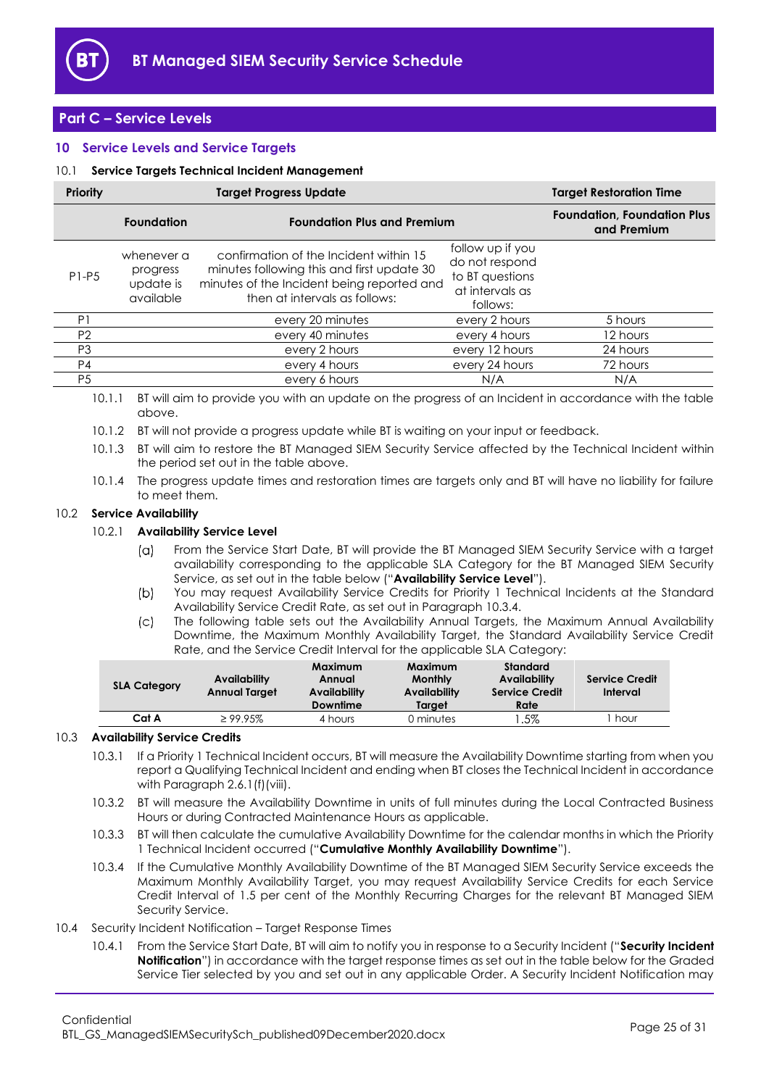

### <span id="page-24-0"></span>**Part C – Service Levels**

### <span id="page-24-1"></span>**10 Service Levels and Service Targets**

### <span id="page-24-2"></span>10.1 **Service Targets Technical Incident Management**

| <b>Priority</b> | <b>Target Progress Update</b>                    |                                                                                                                                                                     |                                                                                      | <b>Target Restoration Time</b>                    |  |  |
|-----------------|--------------------------------------------------|---------------------------------------------------------------------------------------------------------------------------------------------------------------------|--------------------------------------------------------------------------------------|---------------------------------------------------|--|--|
|                 | <b>Foundation</b>                                | <b>Foundation Plus and Premium</b>                                                                                                                                  |                                                                                      | <b>Foundation, Foundation Plus</b><br>and Premium |  |  |
| $P1-P5$         | whenever a<br>progress<br>update is<br>available | confirmation of the Incident within 15<br>minutes following this and first update 30<br>minutes of the Incident being reported and<br>then at intervals as follows: | follow up if you<br>do not respond<br>to BT questions<br>at intervals as<br>follows: |                                                   |  |  |
| P <sub>1</sub>  |                                                  | every 20 minutes                                                                                                                                                    | every 2 hours                                                                        | 5 hours                                           |  |  |
| P <sub>2</sub>  |                                                  | every 40 minutes                                                                                                                                                    | every 4 hours                                                                        | 12 hours                                          |  |  |
| P <sub>3</sub>  |                                                  | every 2 hours                                                                                                                                                       | every 12 hours                                                                       | 24 hours                                          |  |  |
| P <sub>4</sub>  |                                                  | every 4 hours                                                                                                                                                       | every 24 hours                                                                       | 72 hours                                          |  |  |
| P <sub>5</sub>  |                                                  | every 6 hours                                                                                                                                                       | N/A                                                                                  | N/A                                               |  |  |
| $1 \cap 1$ $1$  |                                                  | private original to provide you with an update on the pregress of an incident in general announce with the table                                                    |                                                                                      |                                                   |  |  |

10.1.1 BT will aim to provide you with an update on the progress of an Incident in accordance with the table above.

10.1.2 BT will not provide a progress update while BT is waiting on your input or feedback.

10.1.3 BT will aim to restore the BT Managed SIEM Security Service affected by the Technical Incident within the period set out in the table above.

10.1.4 The progress update times and restoration times are targets only and BT will have no liability for failure to meet them.

### <span id="page-24-5"></span>10.2 **Service Availability**

### 10.2.1 **Availability Service Level**

- From the Service Start Date, BT will provide the BT Managed SIEM Security Service with a target  $(a)$ availability corresponding to the applicable SLA Category for the BT Managed SIEM Security Service, as set out in the table below ("**Availability Service Level**").
- $(b)$ You may request Availability Service Credits for Priority 1 Technical Incidents at the Standard Availability Service Credit Rate, as set out in Paragraph [10.3.4.](#page-24-4)
- The following table sets out the Availability Annual Targets, the Maximum Annual Availability  $\mathcal{L}$ Downtime, the Maximum Monthly Availability Target, the Standard Availability Service Credit Rate, and the Service Credit Interval for the applicable SLA Category:

| <b>SLA Category</b> | Availability<br><b>Annual Target</b> | Maximum<br>Annual<br><b>Availability</b><br>Downtime | Maximum<br><b>Monthly</b><br>Availability<br>Target | Standard<br>Availability<br><b>Service Credit</b><br>Rate | <b>Service Credit</b><br>Interval |
|---------------------|--------------------------------------|------------------------------------------------------|-----------------------------------------------------|-----------------------------------------------------------|-----------------------------------|
| Cat A               | $\geq$ 99.95%                        | 4 hours                                              | 0 minutes                                           | .5%                                                       | hour                              |

### <span id="page-24-6"></span>10.3 **Availability Service Credits**

10.3.1 If a Priority 1 Technical Incident occurs, BT will measure the Availability Downtime starting from when you report a Qualifying Technical Incident and ending when BT closes the Technical Incident in accordance with Paragraph [2.6.1\(f\)\(viii\).](#page-7-2)

- 10.3.2 BT will measure the Availability Downtime in units of full minutes during the Local Contracted Business Hours or during Contracted Maintenance Hours as applicable.
- <span id="page-24-7"></span>10.3.3 BT will then calculate the cumulative Availability Downtime for the calendar months in which the Priority 1 Technical Incident occurred ("**Cumulative Monthly Availability Downtime**").
- <span id="page-24-4"></span>10.3.4 If the Cumulative Monthly Availability Downtime of the BT Managed SIEM Security Service exceeds the Maximum Monthly Availability Target, you may request Availability Service Credits for each Service Credit Interval of 1.5 per cent of the Monthly Recurring Charges for the relevant BT Managed SIEM Security Service.
- <span id="page-24-8"></span><span id="page-24-3"></span>10.4 Security Incident Notification – Target Response Times
	- 10.4.1 From the Service Start Date, BT will aim to notify you in response to a Security Incident ("**Security Incident Notification**") in accordance with the target response times as set out in the table below for the Graded Service Tier selected by you and set out in any applicable Order. A Security Incident Notification may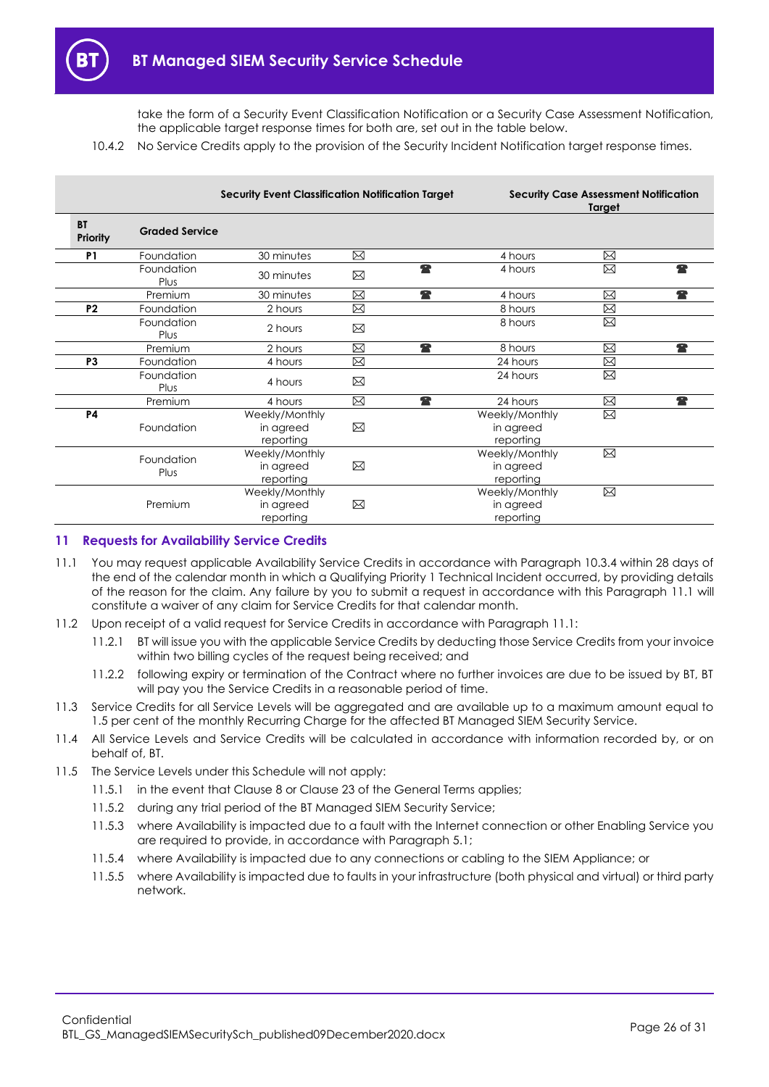take the form of a Security Event Classification Notification or a Security Case Assessment Notification, the applicable target response times for both are, set out in the table below.

10.4.2 No Service Credits apply to the provision of the Security Incident Notification target response times.

|                       |                       | <b>Security Event Classification Notification Target</b> |                             |                                          | <b>Security Case Assessment Notification</b><br>Target |   |  |
|-----------------------|-----------------------|----------------------------------------------------------|-----------------------------|------------------------------------------|--------------------------------------------------------|---|--|
| <b>BT</b><br>Priority | <b>Graded Service</b> |                                                          |                             |                                          |                                                        |   |  |
| P <sub>1</sub>        | Foundation            | 30 minutes                                               | ⊠                           | 4 hours                                  | ⊠                                                      |   |  |
|                       | Foundation<br>Plus    | 30 minutes                                               | 全<br>⊠                      | 4 hours                                  | ⊠                                                      | Ŧ |  |
|                       | Premium               | 30 minutes                                               | 全<br>$\boxtimes$            | 4 hours                                  | X                                                      | 全 |  |
| P <sub>2</sub>        | Foundation            | 2 hours                                                  | ⊠                           | 8 hours                                  | X                                                      |   |  |
|                       | Foundation<br>Plus    | 2 hours                                                  | ⊠                           | 8 hours                                  | ⊠                                                      |   |  |
|                       | Premium               | 2 hours                                                  | $\boxtimes$<br>$\mathbf{r}$ | 8 hours                                  | ⊠                                                      | 全 |  |
| P <sub>3</sub>        | Foundation            | 4 hours                                                  | $\boxtimes$                 | 24 hours                                 | X                                                      |   |  |
|                       | Foundation<br>Plus    | 4 hours                                                  | ⊠                           | 24 hours                                 | ⊠                                                      |   |  |
|                       | Premium               | 4 hours                                                  | $\mathbf{r}$<br>⊠           | 24 hours                                 | ⊠                                                      | 全 |  |
| <b>P4</b>             | Foundation            | Weekly/Monthly<br>in agreed<br>reporting                 | ⊠                           | Weekly/Monthly<br>in agreed<br>reporting | ⊠                                                      |   |  |
|                       | Foundation<br>Plus    | Weekly/Monthly<br>in agreed<br>reporting                 | ⊠                           | Weekly/Monthly<br>in agreed<br>reporting | ⊠                                                      |   |  |
|                       | Premium               | Weekly/Monthly<br>in agreed<br>reporting                 | ⊠                           | Weekly/Monthly<br>in agreed<br>reporting | X                                                      |   |  |

### <span id="page-25-0"></span>**11 Requests for Availability Service Credits**

- <span id="page-25-1"></span>11.1 You may request applicable Availability Service Credits in accordance with Paragraph 10.3.4 within 28 days of the end of the calendar month in which a Qualifying Priority 1 Technical Incident occurred, by providing details of the reason for the claim. Any failure by you to submit a request in accordance with this Paragraph [11.1](#page-25-1) will constitute a waiver of any claim for Service Credits for that calendar month.
- 11.2 Upon receipt of a valid request for Service Credits in accordance with Paragraph [11.1:](#page-25-1)
	- 11.2.1 BT will issue you with the applicable Service Credits by deducting those Service Credits from your invoice within two billing cycles of the request being received; and
	- 11.2.2 following expiry or termination of the Contract where no further invoices are due to be issued by BT, BT will pay you the Service Credits in a reasonable period of time.
- 11.3 Service Credits for all Service Levels will be aggregated and are available up to a maximum amount equal to 1.5 per cent of the monthly Recurring Charge for the affected BT Managed SIEM Security Service.
- 11.4 All Service Levels and Service Credits will be calculated in accordance with information recorded by, or on behalf of, BT.
- 11.5 The Service Levels under this Schedule will not apply:
	- 11.5.1 in the event that Clause 8 or Clause 23 of the General Terms applies;
	- 11.5.2 during any trial period of the BT Managed SIEM Security Service;
	- 11.5.3 where Availability is impacted due to a fault with the Internet connection or other Enabling Service you are required to provide, in accordance with Paragrap[h 5.1;](#page-12-3)
	- 11.5.4 where Availability is impacted due to any connections or cabling to the SIEM Appliance; or
	- 11.5.5 where Availability is impacted due to faults in your infrastructure (both physical and virtual) or third party network.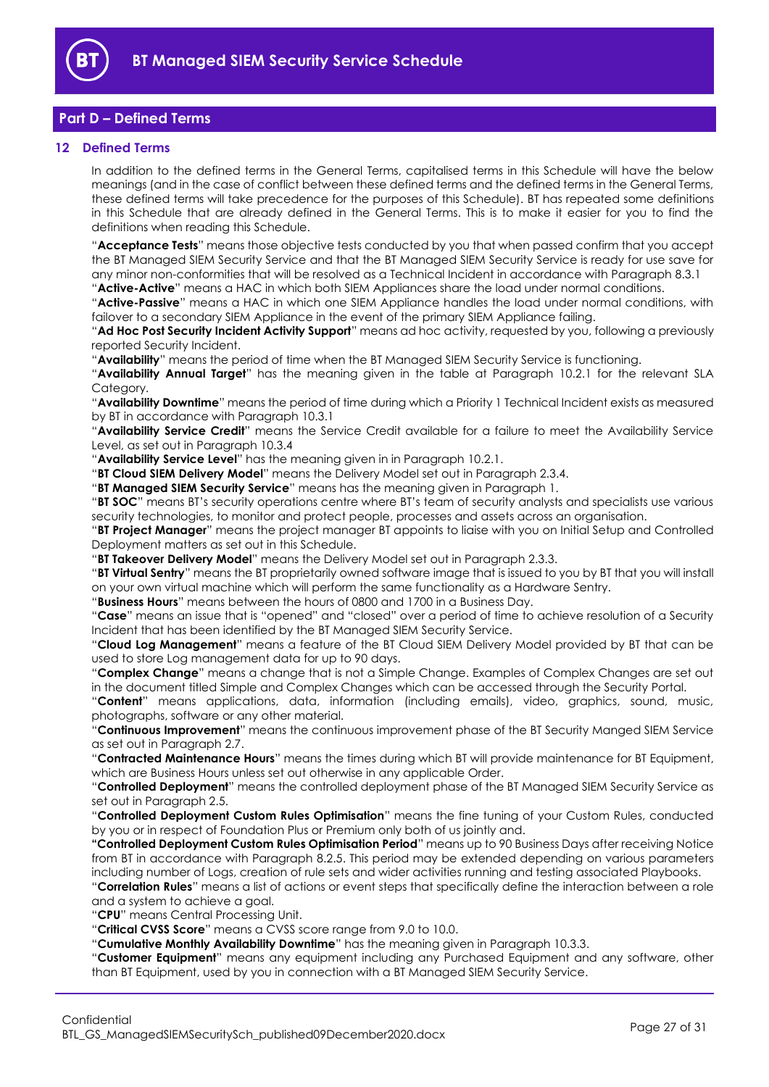

### <span id="page-26-0"></span>**Part D – Defined Terms**

### <span id="page-26-1"></span>**12 Defined Terms**

In addition to the defined terms in the General Terms, capitalised terms in this Schedule will have the below meanings (and in the case of conflict between these defined terms and the defined terms in the General Terms, these defined terms will take precedence for the purposes of this Schedule). BT has repeated some definitions in this Schedule that are already defined in the General Terms. This is to make it easier for you to find the definitions when reading this Schedule.

"**Acceptance Tests**" means those objective tests conducted by you that when passed confirm that you accept the BT Managed SIEM Security Service and that the BT Managed SIEM Security Service is ready for use save for any minor non-conformities that will be resolved as a Technical Incident in accordance with Paragrap[h 8.3.1](#page-20-1) "**Active-Active**" means a HAC in which both SIEM Appliances share the load under normal conditions.

"**Active-Passive**" means a HAC in which one SIEM Appliance handles the load under normal conditions, with failover to a secondary SIEM Appliance in the event of the primary SIEM Appliance failing.

"**Ad Hoc Post Security Incident Activity Support**" means ad hoc activity, requested by you, following a previously reported Security Incident.

"**Availability**" means the period of time when the BT Managed SIEM Security Service is functioning.

"**Availability Annual Target**" has the meaning given in the table at Paragraph [10.2.1](#page-24-5) for the relevant SLA Category.

"**Availability Downtime**" means the period of time during which a Priority 1 Technical Incident exists as measured by BT in accordance with Paragrap[h 10.3.1](#page-24-6)

"**Availability Service Credit**" means the Service Credit available for a failure to meet the Availability Service Level, as set out in Paragrap[h 10.3.4](#page-24-4)

"**Availability Service Level**" has the meaning given in in Paragraph [10.2.1.](#page-24-5)

"**BT Cloud SIEM Delivery Model**" means the Delivery Model set out in Paragraph [2.3.4.](#page-3-3)

"**BT Managed SIEM Security Service**" means has the meaning given in Paragraph [1.](#page-1-3)

"**BT SOC**" means BT's security operations centre where BT's team of security analysts and specialists use various security technologies, to monitor and protect people, processes and assets across an organisation.

"**BT Project Manager**" means the project manager BT appoints to liaise with you on Initial Setup and Controlled Deployment matters as set out in this Schedule.

"**BT Takeover Delivery Model**" means the Delivery Model set out in Paragraph [2.3.3.](#page-3-6)

"**BT Virtual Sentry**" means the BT proprietarily owned software image that is issued to you by BT that you will install on your own virtual machine which will perform the same functionality as a Hardware Sentry.

"**Business Hours**" means between the hours of 0800 and 1700 in a Business Day.

"**Case**" means an issue that is "opened" and "closed" over a period of time to achieve resolution of a Security Incident that has been identified by the BT Managed SIEM Security Service.

"**Cloud Log Management**" means a feature of the BT Cloud SIEM Delivery Model provided by BT that can be used to store Log management data for up to 90 days.

"**Complex Change**" means a change that is not a Simple Change. Examples of Complex Changes are set out in the document titled Simple and Complex Changes which can be accessed through the Security Portal.

"**Content**" means applications, data, information (including emails), video, graphics, sound, music, photographs, software or any other material.

"**Continuous Improvement**" means the continuous improvement phase of the BT Security Manged SIEM Service as set out in Paragraph [2.7.](#page-9-0)

"**Contracted Maintenance Hours**" means the times during which BT will provide maintenance for BT Equipment, which are Business Hours unless set out otherwise in any applicable Order.

"**Controlled Deployment**" means the controlled deployment phase of the BT Managed SIEM Security Service as set out in Paragraph [2.5.](#page-4-0)

"**Controlled Deployment Custom Rules Optimisation**" means the fine tuning of your Custom Rules, conducted by you or in respect of Foundation Plus or Premium only both of us jointly and.

**"Controlled Deployment Custom Rules Optimisation Period**" means up to 90 Business Days after receiving Notice from BT in accordance with Paragraph [8.2.5.](#page-19-3) This period may be extended depending on various parameters including number of Logs, creation of rule sets and wider activities running and testing associated Playbooks.

"**Correlation Rules**" means a list of actions or event steps that specifically define the interaction between a role and a system to achieve a goal.

"**CPU**" means Central Processing Unit.

"**Critical CVSS Score**" means a CVSS score range from 9.0 to 10.0.

"**Cumulative Monthly Availability Downtime**" has the meaning given in Paragrap[h 10.3.3.](#page-24-7)

"**Customer Equipment**" means any equipment including any Purchased Equipment and any software, other than BT Equipment, used by you in connection with a BT Managed SIEM Security Service.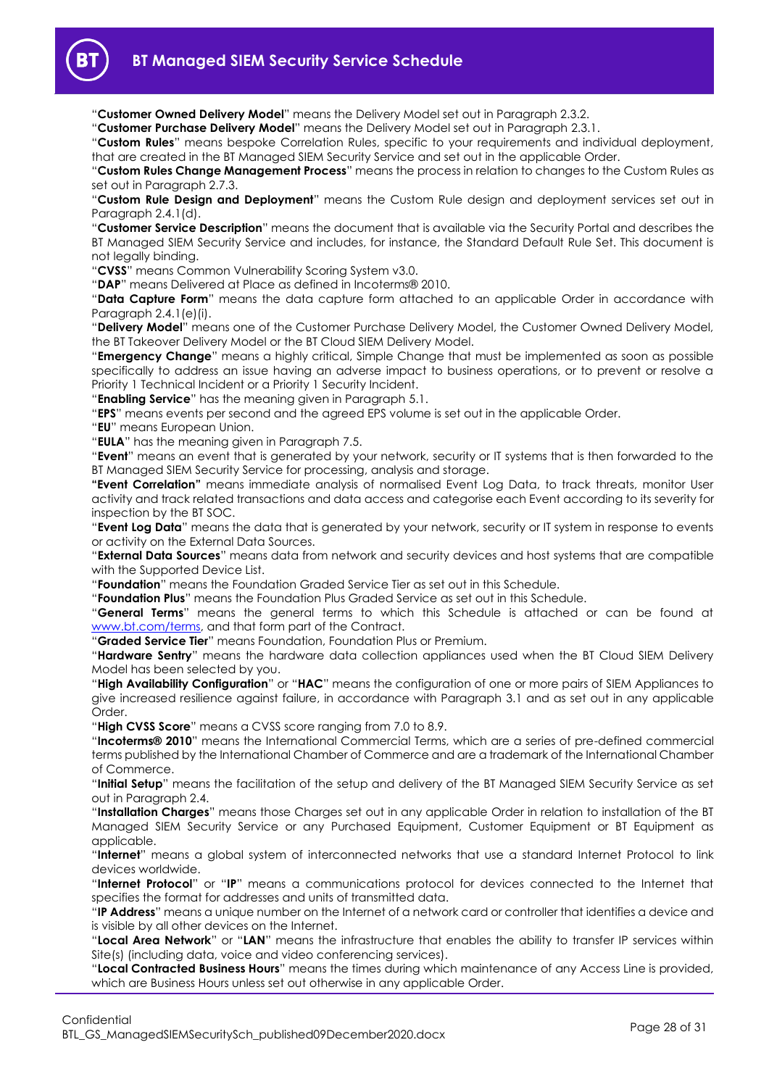"**Customer Owned Delivery Model**" means the Delivery Model set out in Paragraph [2.3.2.](#page-2-0)

"**Customer Purchase Delivery Model**" means the Delivery Model set out in Paragraph [2.3.1.](#page-2-1)

"**Custom Rules**" means bespoke Correlation Rules, specific to your requirements and individual deployment, that are created in the BT Managed SIEM Security Service and set out in the applicable Order.

"**Custom Rules Change Management Process**" means the process in relation to changes to the Custom Rules as set out in Paragraph [2.7.3.](#page-11-0)

"**Custom Rule Design and Deployment**" means the Custom Rule design and deployment services set out in Paragraph [2.4.1\(d\).](#page-3-1)

"**Customer Service Description**" means the document that is available via the Security Portal and describes the BT Managed SIEM Security Service and includes, for instance, the Standard Default Rule Set. This document is not legally binding.

"**CVSS**" means Common Vulnerability Scoring System v3.0.

"**DAP**" means Delivered at Place as defined in Incoterms® 2010.

"**Data Capture Form**" means the data capture form attached to an applicable Order in accordance with Paragraph [2.4.1\(e\)\(i\).](#page-4-7)

"**Delivery Model**" means one of the Customer Purchase Delivery Model, the Customer Owned Delivery Model, the BT Takeover Delivery Model or the BT Cloud SIEM Delivery Model.

"**Emergency Change**" means a highly critical, Simple Change that must be implemented as soon as possible specifically to address an issue having an adverse impact to business operations, or to prevent or resolve a Priority 1 Technical Incident or a Priority 1 Security Incident.

"**Enabling Service**" has the meaning given in Paragraph [5.1.](#page-12-3)

"**EPS**" means events per second and the agreed EPS volume is set out in the applicable Order.

"**EU**" means European Union.

"**EULA**" has the meaning given in Paragraph [7.5.](#page-17-0)

"**Event**" means an event that is generated by your network, security or IT systems that is then forwarded to the BT Managed SIEM Security Service for processing, analysis and storage.

**"Event Correlation"** means immediate analysis of normalised Event Log Data, to track threats, monitor User activity and track related transactions and data access and categorise each Event according to its severity for inspection by the BT SOC.

"**Event Log Data**" means the data that is generated by your network, security or IT system in response to events or activity on the External Data Sources.

"**External Data Sources**" means data from network and security devices and host systems that are compatible with the Supported Device List.

"**Foundation**" means the Foundation Graded Service Tier as set out in this Schedule.

"**Foundation Plus**" means the Foundation Plus Graded Service as set out in this Schedule.

"**General Terms**" means the general terms to which this Schedule is attached or can be found at [www.bt.com/terms,](http://www.bt.com/terms) and that form part of the Contract.

"**Graded Service Tier**" means Foundation, Foundation Plus or Premium.

"**Hardware Sentry**" means the hardware data collection appliances used when the BT Cloud SIEM Delivery Model has been selected by you.

"**High Availability Configuration**" or "**HAC**" means the configuration of one or more pairs of SIEM Appliances to give increased resilience against failure, in accordance with Paragraph [3.1](#page-12-4) and as set out in any applicable Order.

"**High CVSS Score**" means a CVSS score ranging from 7.0 to 8.9.

"**Incoterms® 2010**" means the International Commercial Terms, which are a series of pre-defined commercial terms published by the International Chamber of Commerce and are a trademark of the International Chamber of Commerce.

"**Initial Setup**" means the facilitation of the setup and delivery of the BT Managed SIEM Security Service as set out in Paragraph [2.4.](#page-3-0)

"**Installation Charges**" means those Charges set out in any applicable Order in relation to installation of the BT Managed SIEM Security Service or any Purchased Equipment, Customer Equipment or BT Equipment as applicable.

"**Internet**" means a global system of interconnected networks that use a standard Internet Protocol to link devices worldwide.

"**Internet Protocol**" or "**IP**" means a communications protocol for devices connected to the Internet that specifies the format for addresses and units of transmitted data.

"**IP Address**" means a unique number on the Internet of a network card or controller that identifies a device and is visible by all other devices on the Internet.

"**Local Area Network**" or "**LAN**" means the infrastructure that enables the ability to transfer IP services within Site(s) (including data, voice and video conferencing services).

"**Local Contracted Business Hours**" means the times during which maintenance of any Access Line is provided, which are Business Hours unless set out otherwise in any applicable Order.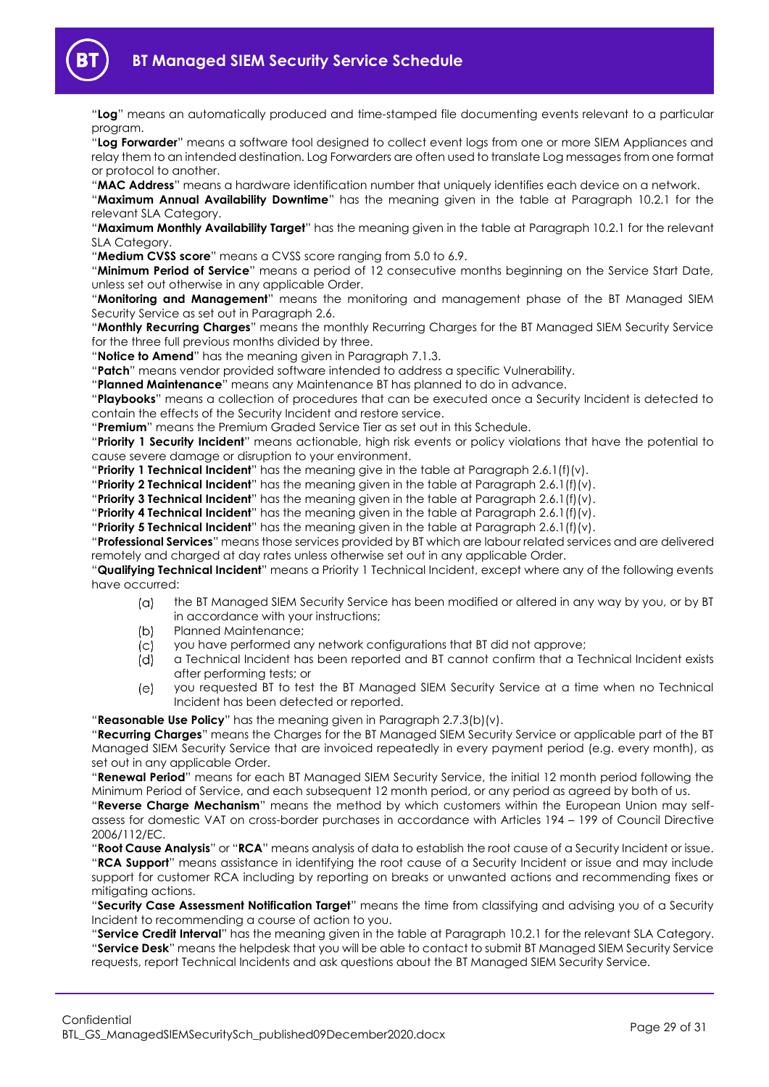

"**Log**" means an automatically produced and time-stamped file documenting events relevant to a particular program.

"**Log Forwarder**" means a software tool designed to collect event logs from one or more SIEM Appliances and relay them to an intended destination. Log Forwarders are often used to translate Log messages from one format or protocol to another.

"**MAC Address**" means a hardware identification number that uniquely identifies each device on a network.

"**Maximum Annual Availability Downtime**" has the meaning given in the table at Paragraph [10.2.1](#page-24-5) for the relevant SLA Category.

"**Maximum Monthly Availability Target**" has the meaning given in the table at Paragraph [10.2.1](#page-24-5) for the relevant SLA Category.

"**Medium CVSS score**" means a CVSS score ranging from 5.0 to 6.9.

"**Minimum Period of Service**" means a period of 12 consecutive months beginning on the Service Start Date, unless set out otherwise in any applicable Order.

"**Monitoring and Management**" means the monitoring and management phase of the BT Managed SIEM Security Service as set out in Paragraph [2.6.](#page-5-0)

"**Monthly Recurring Charges**" means the monthly Recurring Charges for the BT Managed SIEM Security Service for the three full previous months divided by three.

"**Notice to Amend**" has the meaning given in Paragraph [7.1.3.](#page-15-2)

"**Patch**" means vendor provided software intended to address a specific Vulnerability.

"**Planned Maintenance**" means any Maintenance BT has planned to do in advance.

"**Playbooks**" means a collection of procedures that can be executed once a Security Incident is detected to contain the effects of the Security Incident and restore service.

"**Premium**" means the Premium Graded Service Tier as set out in this Schedule.

"**Priority 1 Security Incident**" means actionable, high risk events or policy violations that have the potential to cause severe damage or disruption to your environment.

"**Priority 1 Technical Incident**" has the meaning give in the table at Paragraph [2.6.1\(f\)\(v\).](#page-6-3)

"**Priority 2 Technical Incident**" has the meaning given in the table at Paragraph [2.6.1\(f\)\(v\).](#page-6-3)

"**Priority 3 Technical Incident**" has the meaning given in the table at Paragraph [2.6.1\(f\)\(v\).](#page-6-3)

"**Priority 4 Technical Incident**" has the meaning given in the table at Paragraph [2.6.1\(f\)\(v\).](#page-6-3)

"**Priority 5 Technical Incident**" has the meaning given in the table at Paragraph [2.6.1\(f\)\(v\).](#page-6-3)

"**Professional Services**" means those services provided by BT which are labour related services and are delivered remotely and charged at day rates unless otherwise set out in any applicable Order.

"**Qualifying Technical Incident**" means a Priority 1 Technical Incident, except where any of the following events have occurred:

- $(a)$ the BT Managed SIEM Security Service has been modified or altered in any way by you, or by BT in accordance with your instructions;
- $(b)$ Planned Maintenance;
- you have performed any network configurations that BT did not approve;  $(c)$
- $(d)$ a Technical Incident has been reported and BT cannot confirm that a Technical Incident exists after performing tests; or
- $(e)$ you requested BT to test the BT Managed SIEM Security Service at a time when no Technical Incident has been detected or reported.

"**Reasonable Use Policy**" has the meaning given in Paragraph [2.7.3\(b\)\(v\).](#page-11-1)

"**Recurring Charges**" means the Charges for the BT Managed SIEM Security Service or applicable part of the BT Managed SIEM Security Service that are invoiced repeatedly in every payment period (e.g. every month), as set out in any applicable Order.

"**Renewal Period**" means for each BT Managed SIEM Security Service, the initial 12 month period following the Minimum Period of Service, and each subsequent 12 month period, or any period as agreed by both of us.

"**Reverse Charge Mechanism**" means the method by which customers within the European Union may selfassess for domestic VAT on cross-border purchases in accordance with Articles 194 – 199 of Council Directive 2006/112/EC.

"**Root Cause Analysis**" or "**RCA**" means analysis of data to establish the root cause of a Security Incident or issue. "**RCA Support**" means assistance in identifying the root cause of a Security Incident or issue and may include support for customer RCA including by reporting on breaks or unwanted actions and recommending fixes or mitigating actions.

"**Security Case Assessment Notification Target**" means the time from classifying and advising you of a Security Incident to recommending a course of action to you.

"**Service Credit Interval**" has the meaning given in the table at Paragraph [10.2.1](#page-24-5) for the relevant SLA Category. "**Service Desk**" means the helpdesk that you will be able to contact to submit BT Managed SIEM Security Service requests, report Technical Incidents and ask questions about the BT Managed SIEM Security Service.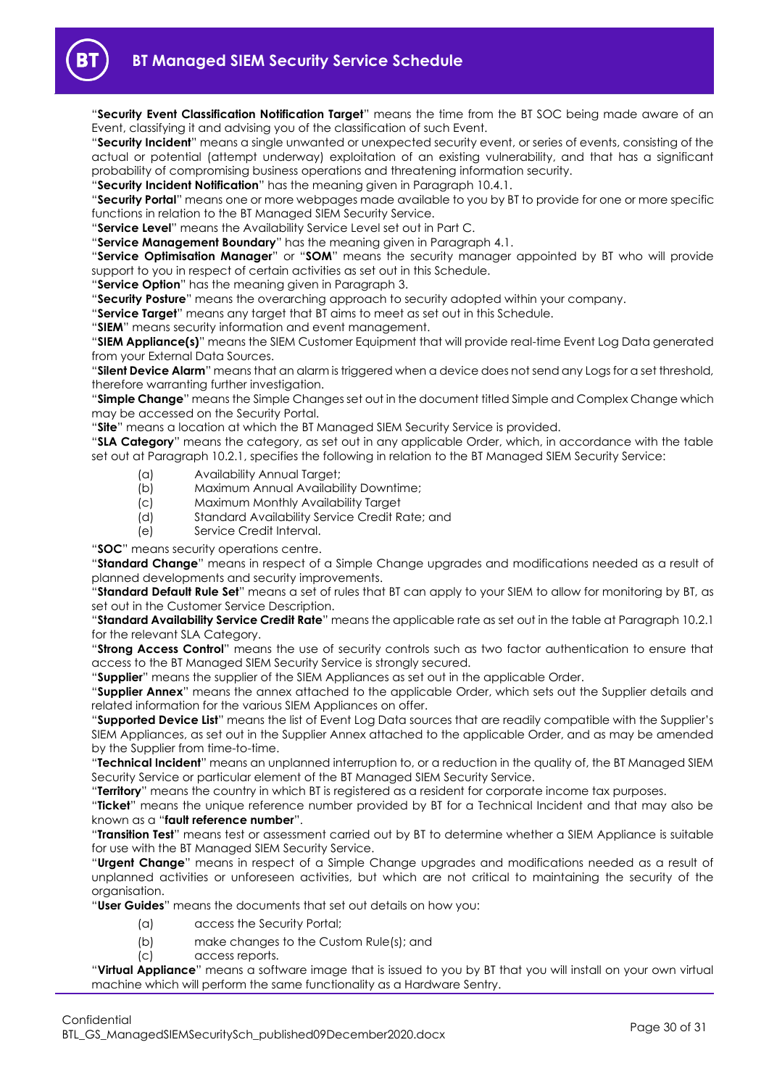

"**Security Event Classification Notification Target**" means the time from the BT SOC being made aware of an Event, classifying it and advising you of the classification of such Event.

"**Security Incident**" means a single unwanted or unexpected security event, or series of events, consisting of the actual or potential (attempt underway) exploitation of an existing vulnerability, and that has a significant probability of compromising business operations and threatening information security.

"**Security Incident Notification**" has the meaning given in Paragraph [10.4.1.](#page-24-8)

"**Security Portal**" means one or more webpages made available to you by BT to provide for one or more specific functions in relation to the BT Managed SIEM Security Service.

"**Service Level**" means the Availability Service Level set out in Part C.

"**Service Management Boundary**" has the meaning given in Paragraph [4.1.](#page-12-5)

"**Service Optimisation Manager**" or "**SOM**" means the security manager appointed by BT who will provide support to you in respect of certain activities as set out in this Schedule.

"**Service Option**" has the meaning given in Paragrap[h 3.](#page-12-0)

"**Security Posture**" means the overarching approach to security adopted within your company.

"**Service Target**" means any target that BT aims to meet as set out in this Schedule.

"**SIEM**" means security information and event management.

"**SIEM Appliance(s)**" means the SIEM Customer Equipment that will provide real-time Event Log Data generated from your External Data Sources.

"**Silent Device Alarm**" means that an alarm is triggered when a device does not send any Logs for a set threshold, therefore warranting further investigation.

"**Simple Change**" means the Simple Changes set out in the document titled Simple and Complex Change which may be accessed on the Security Portal.

"**Site**" means a location at which the BT Managed SIEM Security Service is provided.

"**SLA Category**" means the category, as set out in any applicable Order, which, in accordance with the table set out at Paragrap[h 10.2.1,](#page-24-5) specifies the following in relation to the BT Managed SIEM Security Service:

- (a) Availability Annual Target;
- (b) Maximum Annual Availability Downtime;
- (c) Maximum Monthly Availability Target
- (d) Standard Availability Service Credit Rate; and
- (e) Service Credit Interval.

"**SOC**" means security operations centre.

"**Standard Change**" means in respect of a Simple Change upgrades and modifications needed as a result of planned developments and security improvements.

"**Standard Default Rule Set**" means a set of rules that BT can apply to your SIEM to allow for monitoring by BT, as set out in the Customer Service Description.

"**Standard Availability Service Credit Rate**" means the applicable rate as set out in the table at Paragraph [10.2.1](#page-24-5) for the relevant SLA Category.

"**Strong Access Control**" means the use of security controls such as two factor authentication to ensure that access to the BT Managed SIEM Security Service is strongly secured.

"**Supplier**" means the supplier of the SIEM Appliances as set out in the applicable Order.

"**Supplier Annex**" means the annex attached to the applicable Order, which sets out the Supplier details and related information for the various SIEM Appliances on offer.

"**Supported Device List**" means the list of Event Log Data sources that are readily compatible with the Supplier's SIEM Appliances, as set out in the Supplier Annex attached to the applicable Order, and as may be amended by the Supplier from time-to-time.

"**Technical Incident**" means an unplanned interruption to, or a reduction in the quality of, the BT Managed SIEM Security Service or particular element of the BT Managed SIEM Security Service.

"**Territory**" means the country in which BT is registered as a resident for corporate income tax purposes.

"**Ticket**" means the unique reference number provided by BT for a Technical Incident and that may also be known as a "**fault reference number**".

"**Transition Test**" means test or assessment carried out by BT to determine whether a SIEM Appliance is suitable for use with the BT Managed SIEM Security Service.

"**Urgent Change**" means in respect of a Simple Change upgrades and modifications needed as a result of unplanned activities or unforeseen activities, but which are not critical to maintaining the security of the organisation.

"**User Guides**" means the documents that set out details on how you:

- (a) access the Security Portal;
- (b) make changes to the Custom Rule(s); and
- (c) access reports.

"**Virtual Appliance**" means a software image that is issued to you by BT that you will install on your own virtual machine which will perform the same functionality as a Hardware Sentry.